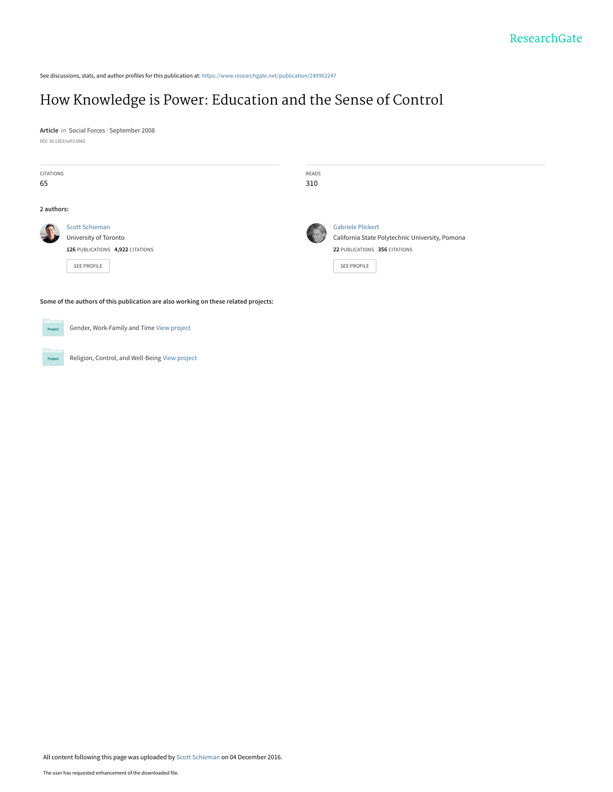See discussions, stats, and author profiles for this publication at: [https://www.researchgate.net/publication/249902247](https://www.researchgate.net/publication/249902247_How_Knowledge_is_Power_Education_and_the_Sense_of_Control?enrichId=rgreq-a36f10d5c4c57d0deee99f07dac6070a-XXX&enrichSource=Y292ZXJQYWdlOzI0OTkwMjI0NztBUzo0MzU2NDAwNDQxMzQ0MDNAMTQ4MDg3NjA4ODM1NQ%3D%3D&el=1_x_2&_esc=publicationCoverPdf)

## [How Knowledge is Power: Education and the Sense of Control](https://www.researchgate.net/publication/249902247_How_Knowledge_is_Power_Education_and_the_Sense_of_Control?enrichId=rgreq-a36f10d5c4c57d0deee99f07dac6070a-XXX&enrichSource=Y292ZXJQYWdlOzI0OTkwMjI0NztBUzo0MzU2NDAwNDQxMzQ0MDNAMTQ4MDg3NjA4ODM1NQ%3D%3D&el=1_x_3&_esc=publicationCoverPdf)

**Article** in Social Forces · September 2008 DOI: 10.1353/sof.0.0065

|    | CITATIONS                                                                           | <b>READS</b> |                                                 |  |
|----|-------------------------------------------------------------------------------------|--------------|-------------------------------------------------|--|
| 65 |                                                                                     | 310          |                                                 |  |
|    | 2 authors:                                                                          |              |                                                 |  |
|    | <b>Scott Schieman</b>                                                               |              | <b>Gabriele Plickert</b>                        |  |
|    | University of Toronto                                                               |              | California State Polytechnic University, Pomona |  |
|    | 126 PUBLICATIONS 4,922 CITATIONS                                                    |              | 22 PUBLICATIONS 356 CITATIONS                   |  |
|    | SEE PROFILE                                                                         |              | <b>SEE PROFILE</b>                              |  |
|    |                                                                                     |              |                                                 |  |
|    | Some of the authors of this publication are also working on these related projects: |              |                                                 |  |
|    |                                                                                     |              |                                                 |  |
|    | Gender, Work-Family and Time View project<br>Project                                |              |                                                 |  |

Religion, Control, and Well-Being [View project](https://www.researchgate.net/project/Religion-Control-and-Well-Being?enrichId=rgreq-a36f10d5c4c57d0deee99f07dac6070a-XXX&enrichSource=Y292ZXJQYWdlOzI0OTkwMjI0NztBUzo0MzU2NDAwNDQxMzQ0MDNAMTQ4MDg3NjA4ODM1NQ%3D%3D&el=1_x_9&_esc=publicationCoverPdf)

Project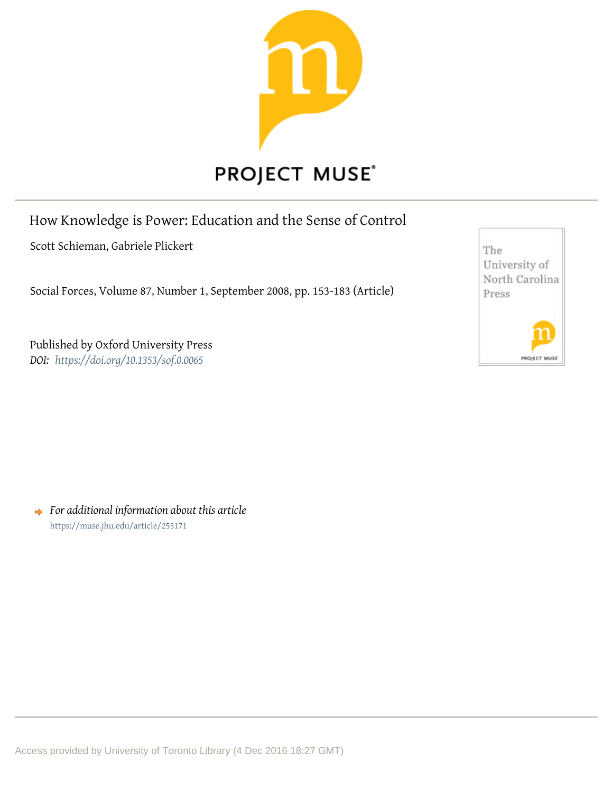

# **PROJECT MUSE®**

## How Knowledge is Power: Education and the Sense of Control

Scott Schieman, Gabriele Plickert

Social Forces, Volume 87, Number 1, September 2008, pp. 153-183 (Article)

Published by Oxford University Press *DOI: https://doi.org/10.1353/sof.0.0065* 



**→** For additional information about this article https://muse.jhu.edu/article/255171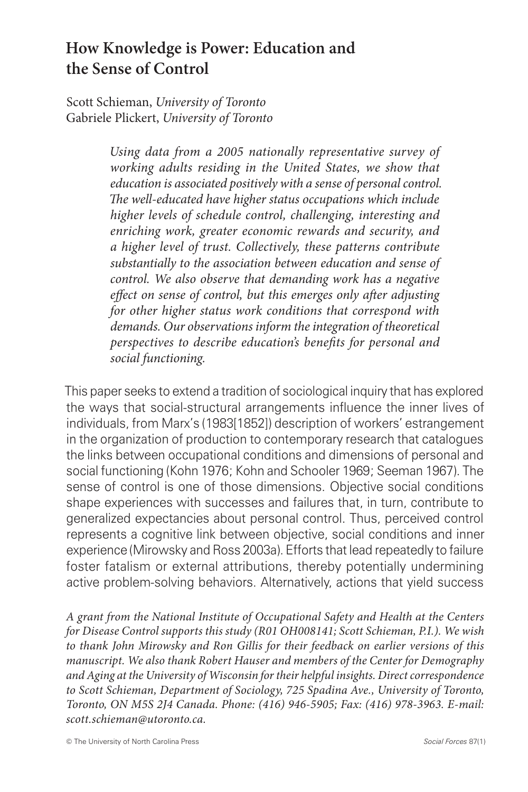## **How Knowledge is Power: Education and the Sense of Control**

Scott Schieman, *University of Toronto* Gabriele Plickert, *University of Toronto*

> *Using data from a 2005 nationally representative survey of working adults residing in the United States, we show that education is associated positively with a sense of personal control. The well-educated have higher status occupations which include higher levels of schedule control, challenging, interesting and enriching work, greater economic rewards and security, and a higher level of trust. Collectively, these patterns contribute substantially to the association between education and sense of control. We also observe that demanding work has a negative effect on sense of control, but this emerges only after adjusting for other higher status work conditions that correspond with demands. Our observations inform the integration of theoretical perspectives to describe education's benefits for personal and social functioning.*

This paper seeks to extend a tradition of sociological inquiry that has explored the ways that social-structural arrangements influence the inner lives of individuals, from Marx's (1983[1852]) description of workers' estrangement in the organization of production to contemporary research that catalogues the links between occupational conditions and dimensions of personal and social functioning (Kohn 1976; Kohn and Schooler 1969; Seeman 1967). The sense of control is one of those dimensions. Objective social conditions shape experiences with successes and failures that, in turn, contribute to generalized expectancies about personal control. Thus, perceived control represents a cognitive link between objective, social conditions and inner experience (Mirowsky and Ross 2003a). Efforts that lead repeatedly to failure foster fatalism or external attributions, thereby potentially undermining active problem-solving behaviors. Alternatively, actions that yield success

*A grant from the National Institute of Occupational Safety and Health at the Centers for Disease Control supports this study (R01 OH008141; Scott Schieman, P.I.). We wish to thank John Mirowsky and Ron Gillis for their feedback on earlier versions of this manuscript. We also thank Robert Hauser and members of the Center for Demography and Aging at the University of Wisconsin for their helpful insights. Direct correspondence to Scott Schieman, Department of Sociology, 725 Spadina Ave., University of Toronto, Toronto, ON M5S 2J4 Canada. Phone: (416) 946-5905; Fax: (416) 978-3963. E-mail: scott.schieman@utoronto.ca.*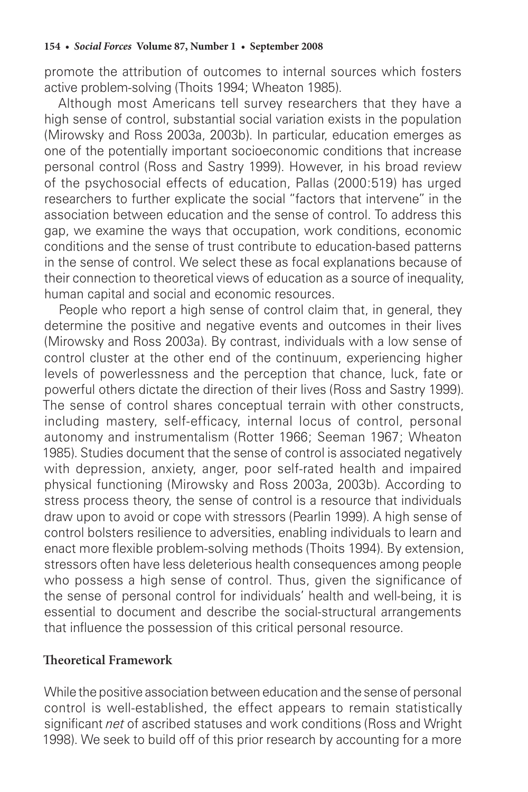promote the attribution of outcomes to internal sources which fosters active problem-solving (Thoits 1994; Wheaton 1985).

Although most Americans tell survey researchers that they have a high sense of control, substantial social variation exists in the population (Mirowsky and Ross 2003a, 2003b). In particular, education emerges as one of the potentially important socioeconomic conditions that increase personal control (Ross and Sastry 1999). However, in his broad review of the psychosocial effects of education, Pallas (2000:519) has urged researchers to further explicate the social "factors that intervene" in the association between education and the sense of control. To address this gap, we examine the ways that occupation, work conditions, economic conditions and the sense of trust contribute to education-based patterns in the sense of control. We select these as focal explanations because of their connection to theoretical views of education as a source of inequality, human capital and social and economic resources.

People who report a high sense of control claim that, in general, they determine the positive and negative events and outcomes in their lives (Mirowsky and Ross 2003a). By contrast, individuals with a low sense of control cluster at the other end of the continuum, experiencing higher levels of powerlessness and the perception that chance, luck, fate or powerful others dictate the direction of their lives (Ross and Sastry 1999). The sense of control shares conceptual terrain with other constructs, including mastery, self-efficacy, internal locus of control, personal autonomy and instrumentalism (Rotter 1966; Seeman 1967; Wheaton 1985). Studies document that the sense of control is associated negatively with depression, anxiety, anger, poor self-rated health and impaired physical functioning (Mirowsky and Ross 2003a, 2003b). According to stress process theory, the sense of control is a resource that individuals draw upon to avoid or cope with stressors (Pearlin 1999). A high sense of control bolsters resilience to adversities, enabling individuals to learn and enact more flexible problem-solving methods (Thoits 1994). By extension, stressors often have less deleterious health consequences among people who possess a high sense of control. Thus, given the significance of the sense of personal control for individuals' health and well-being, it is essential to document and describe the social-structural arrangements that influence the possession of this critical personal resource.

#### **Theoretical Framework**

While the positive association between education and the sense of personal control is well-established, the effect appears to remain statistically significant *net* of ascribed statuses and work conditions (Ross and Wright 1998). We seek to build off of this prior research by accounting for a more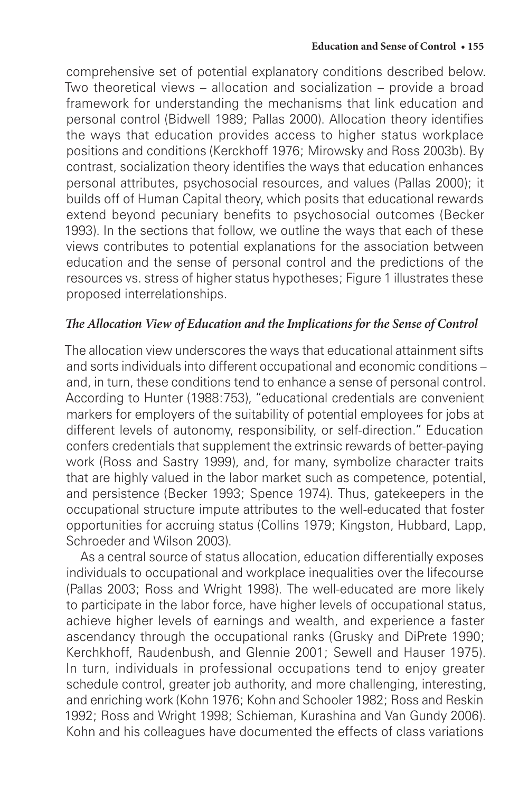comprehensive set of potential explanatory conditions described below. Two theoretical views – allocation and socialization – provide a broad framework for understanding the mechanisms that link education and personal control (Bidwell 1989; Pallas 2000). Allocation theory identifies the ways that education provides access to higher status workplace positions and conditions (Kerckhoff 1976; Mirowsky and Ross 2003b). By contrast, socialization theory identifies the ways that education enhances personal attributes, psychosocial resources, and values (Pallas 2000); it builds off of Human Capital theory, which posits that educational rewards extend beyond pecuniary benefits to psychosocial outcomes (Becker 1993). In the sections that follow, we outline the ways that each of these views contributes to potential explanations for the association between education and the sense of personal control and the predictions of the resources vs. stress of higher status hypotheses; Figure 1 illustrates these proposed interrelationships.

#### *The Allocation View of Education and the Implications for the Sense of Control*

The allocation view underscores the ways that educational attainment sifts and sorts individuals into different occupational and economic conditions – and, in turn, these conditions tend to enhance a sense of personal control. According to Hunter (1988:753), "educational credentials are convenient markers for employers of the suitability of potential employees for jobs at different levels of autonomy, responsibility, or self-direction." Education confers credentials that supplement the extrinsic rewards of better-paying work (Ross and Sastry 1999), and, for many, symbolize character traits that are highly valued in the labor market such as competence, potential, and persistence (Becker 1993; Spence 1974). Thus, gatekeepers in the occupational structure impute attributes to the well-educated that foster opportunities for accruing status (Collins 1979; Kingston, Hubbard, Lapp, Schroeder and Wilson 2003).

As a central source of status allocation, education differentially exposes individuals to occupational and workplace inequalities over the lifecourse (Pallas 2003; Ross and Wright 1998). The well-educated are more likely to participate in the labor force, have higher levels of occupational status, achieve higher levels of earnings and wealth, and experience a faster ascendancy through the occupational ranks (Grusky and DiPrete 1990; Kerchkhoff, Raudenbush, and Glennie 2001; Sewell and Hauser 1975). In turn, individuals in professional occupations tend to enjoy greater schedule control, greater job authority, and more challenging, interesting, and enriching work (Kohn 1976; Kohn and Schooler 1982; Ross and Reskin 1992; Ross and Wright 1998; Schieman, Kurashina and Van Gundy 2006). Kohn and his colleagues have documented the effects of class variations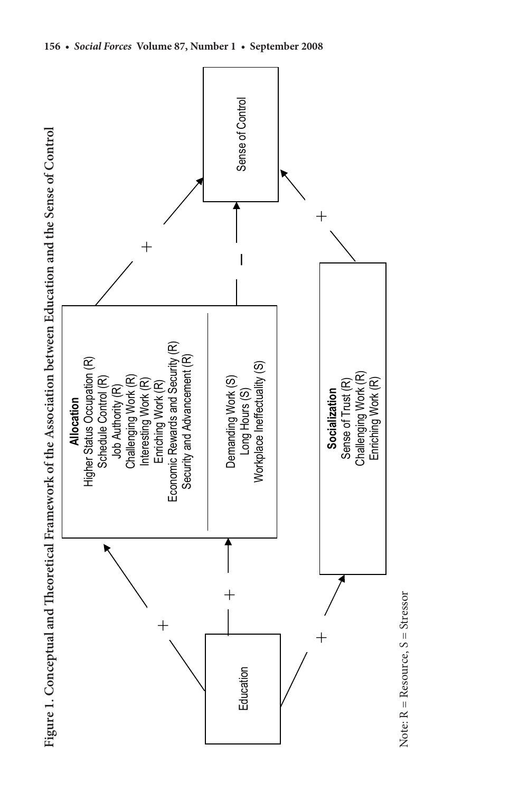



Note:  $R = Resource$ ,  $S = Stressor$ Note: R = Resource, S = Stressor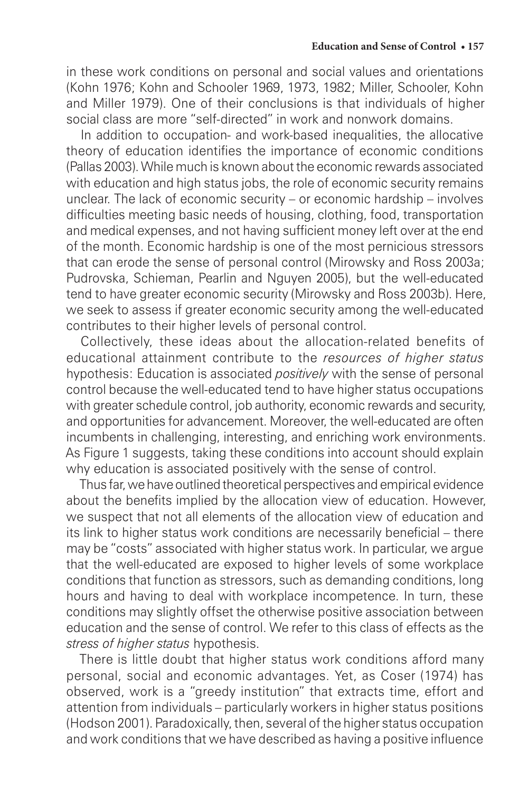in these work conditions on personal and social values and orientations (Kohn 1976; Kohn and Schooler 1969, 1973, 1982; Miller, Schooler, Kohn and Miller 1979). One of their conclusions is that individuals of higher social class are more "self-directed" in work and nonwork domains.

In addition to occupation- and work-based inequalities, the allocative theory of education identifies the importance of economic conditions (Pallas 2003). While much is known about the economic rewards associated with education and high status jobs, the role of economic security remains unclear. The lack of economic security – or economic hardship – involves difficulties meeting basic needs of housing, clothing, food, transportation and medical expenses, and not having sufficient money left over at the end of the month. Economic hardship is one of the most pernicious stressors that can erode the sense of personal control (Mirowsky and Ross 2003a; Pudrovska, Schieman, Pearlin and Nguyen 2005), but the well-educated tend to have greater economic security (Mirowsky and Ross 2003b). Here, we seek to assess if greater economic security among the well-educated contributes to their higher levels of personal control.

Collectively, these ideas about the allocation-related benefits of educational attainment contribute to the *resources of higher status*  hypothesis: Education is associated *positively* with the sense of personal control because the well-educated tend to have higher status occupations with greater schedule control, job authority, economic rewards and security, and opportunities for advancement. Moreover, the well-educated are often incumbents in challenging, interesting, and enriching work environments. As Figure 1 suggests, taking these conditions into account should explain why education is associated positively with the sense of control.

Thus far, we have outlined theoretical perspectives and empirical evidence about the benefits implied by the allocation view of education. However, we suspect that not all elements of the allocation view of education and its link to higher status work conditions are necessarily beneficial – there may be "costs" associated with higher status work. In particular, we argue that the well-educated are exposed to higher levels of some workplace conditions that function as stressors, such as demanding conditions, long hours and having to deal with workplace incompetence. In turn, these conditions may slightly offset the otherwise positive association between education and the sense of control. We refer to this class of effects as the *stress of higher status* hypothesis.

There is little doubt that higher status work conditions afford many personal, social and economic advantages. Yet, as Coser (1974) has observed, work is a "greedy institution" that extracts time, effort and attention from individuals – particularly workers in higher status positions (Hodson 2001). Paradoxically, then, several of the higher status occupation and work conditions that we have described as having a positive influence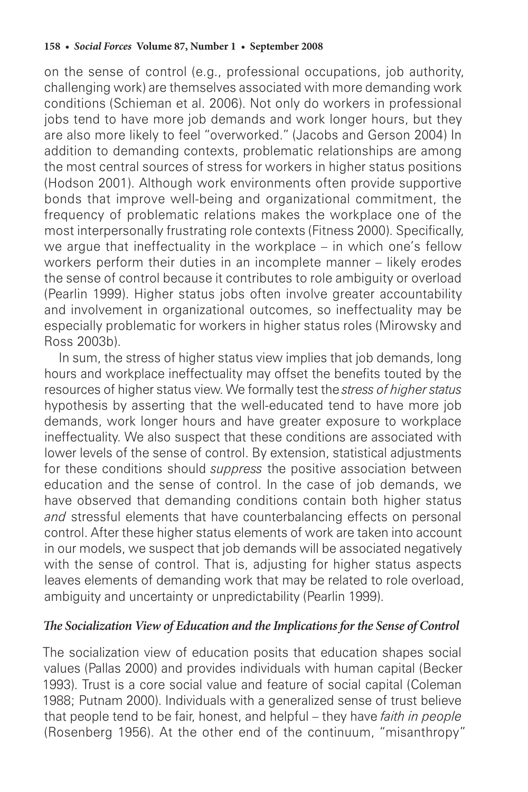on the sense of control (e.g., professional occupations, job authority, challenging work) are themselves associated with more demanding work conditions (Schieman et al. 2006). Not only do workers in professional jobs tend to have more job demands and work longer hours, but they are also more likely to feel "overworked." (Jacobs and Gerson 2004) In addition to demanding contexts, problematic relationships are among the most central sources of stress for workers in higher status positions (Hodson 2001). Although work environments often provide supportive bonds that improve well-being and organizational commitment, the frequency of problematic relations makes the workplace one of the most interpersonally frustrating role contexts (Fitness 2000). Specifically, we argue that ineffectuality in the workplace – in which one's fellow workers perform their duties in an incomplete manner – likely erodes the sense of control because it contributes to role ambiguity or overload (Pearlin 1999). Higher status jobs often involve greater accountability and involvement in organizational outcomes, so ineffectuality may be especially problematic for workers in higher status roles (Mirowsky and Ross 2003b).

In sum, the stress of higher status view implies that job demands, long hours and workplace ineffectuality may offset the benefits touted by the resources of higher status view. We formally test the *stress of higher status*  hypothesis by asserting that the well-educated tend to have more job demands, work longer hours and have greater exposure to workplace ineffectuality. We also suspect that these conditions are associated with lower levels of the sense of control. By extension, statistical adjustments for these conditions should *suppress* the positive association between education and the sense of control. In the case of job demands, we have observed that demanding conditions contain both higher status *and* stressful elements that have counterbalancing effects on personal control. After these higher status elements of work are taken into account in our models, we suspect that job demands will be associated negatively with the sense of control. That is, adjusting for higher status aspects leaves elements of demanding work that may be related to role overload, ambiguity and uncertainty or unpredictability (Pearlin 1999).

#### *The Socialization View of Education and the Implications for the Sense of Control*

The socialization view of education posits that education shapes social values (Pallas 2000) and provides individuals with human capital (Becker 1993). Trust is a core social value and feature of social capital (Coleman 1988; Putnam 2000). Individuals with a generalized sense of trust believe that people tend to be fair, honest, and helpful – they have *faith in people* (Rosenberg 1956). At the other end of the continuum, "misanthropy"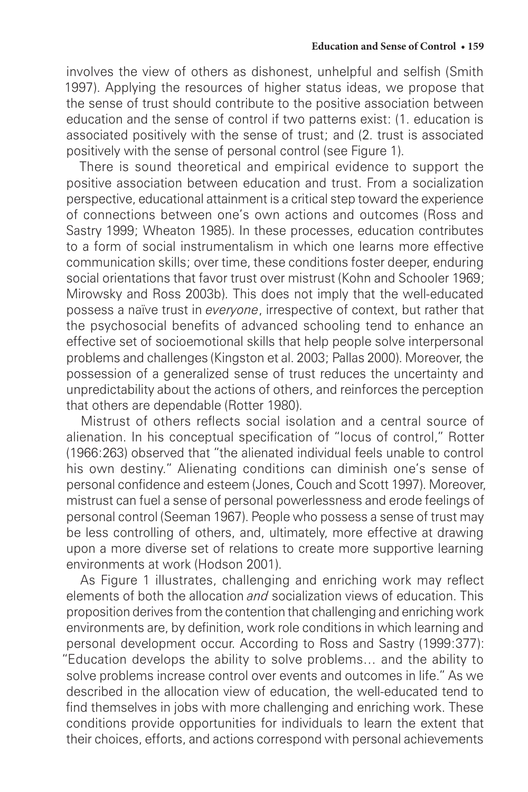involves the view of others as dishonest, unhelpful and selfish (Smith 1997). Applying the resources of higher status ideas, we propose that the sense of trust should contribute to the positive association between education and the sense of control if two patterns exist: (1. education is associated positively with the sense of trust; and (2. trust is associated positively with the sense of personal control (see Figure 1).

There is sound theoretical and empirical evidence to support the positive association between education and trust. From a socialization perspective, educational attainment is a critical step toward the experience of connections between one's own actions and outcomes (Ross and Sastry 1999; Wheaton 1985). In these processes, education contributes to a form of social instrumentalism in which one learns more effective communication skills; over time, these conditions foster deeper, enduring social orientations that favor trust over mistrust (Kohn and Schooler 1969; Mirowsky and Ross 2003b). This does not imply that the well-educated possess a naïve trust in *everyone*, irrespective of context, but rather that the psychosocial benefits of advanced schooling tend to enhance an effective set of socioemotional skills that help people solve interpersonal problems and challenges (Kingston et al. 2003; Pallas 2000). Moreover, the possession of a generalized sense of trust reduces the uncertainty and unpredictability about the actions of others, and reinforces the perception that others are dependable (Rotter 1980).

Mistrust of others reflects social isolation and a central source of alienation. In his conceptual specification of "locus of control," Rotter (1966:263) observed that "the alienated individual feels unable to control his own destiny." Alienating conditions can diminish one's sense of personal confidence and esteem (Jones, Couch and Scott 1997). Moreover, mistrust can fuel a sense of personal powerlessness and erode feelings of personal control (Seeman 1967). People who possess a sense of trust may be less controlling of others, and, ultimately, more effective at drawing upon a more diverse set of relations to create more supportive learning environments at work (Hodson 2001).

As Figure 1 illustrates, challenging and enriching work may reflect elements of both the allocation *and* socialization views of education. This proposition derives from the contention that challenging and enriching work environments are, by definition, work role conditions in which learning and personal development occur. According to Ross and Sastry (1999:377): "Education develops the ability to solve problems… and the ability to solve problems increase control over events and outcomes in life." As we described in the allocation view of education, the well-educated tend to find themselves in jobs with more challenging and enriching work. These conditions provide opportunities for individuals to learn the extent that their choices, efforts, and actions correspond with personal achievements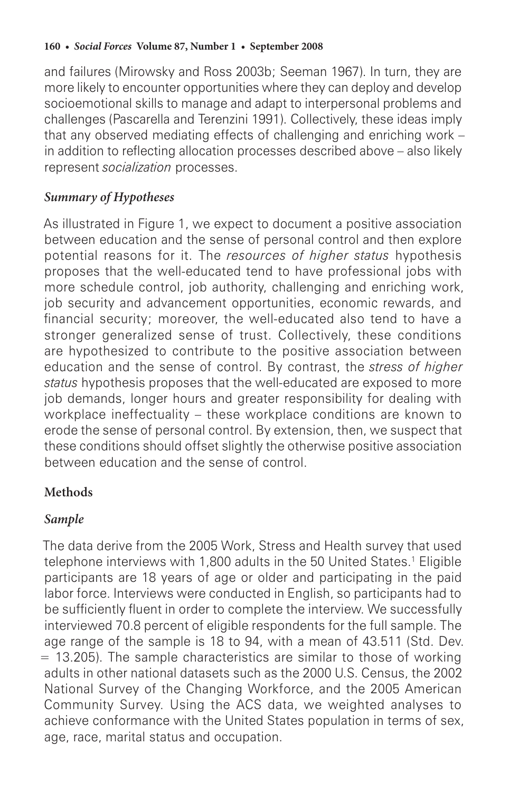and failures (Mirowsky and Ross 2003b; Seeman 1967). In turn, they are more likely to encounter opportunities where they can deploy and develop socioemotional skills to manage and adapt to interpersonal problems and challenges (Pascarella and Terenzini 1991). Collectively, these ideas imply that any observed mediating effects of challenging and enriching work – in addition to reflecting allocation processes described above – also likely represent *socialization* processes.

## *Summary of Hypotheses*

As illustrated in Figure 1, we expect to document a positive association between education and the sense of personal control and then explore potential reasons for it. The *resources of higher status* hypothesis proposes that the well-educated tend to have professional jobs with more schedule control, job authority, challenging and enriching work, job security and advancement opportunities, economic rewards, and financial security; moreover, the well-educated also tend to have a stronger generalized sense of trust. Collectively, these conditions are hypothesized to contribute to the positive association between education and the sense of control. By contrast, the *stress of higher status* hypothesis proposes that the well-educated are exposed to more job demands, longer hours and greater responsibility for dealing with workplace ineffectuality – these workplace conditions are known to erode the sense of personal control. By extension, then, we suspect that these conditions should offset slightly the otherwise positive association between education and the sense of control.

## **Methods**

## *Sample*

The data derive from the 2005 Work, Stress and Health survey that used telephone interviews with 1,800 adults in the 50 United States.1 Eligible participants are 18 years of age or older and participating in the paid labor force. Interviews were conducted in English, so participants had to be sufficiently fluent in order to complete the interview. We successfully interviewed 70.8 percent of eligible respondents for the full sample. The age range of the sample is 18 to 94, with a mean of 43.511 (Std. Dev.  $= 13.205$ ). The sample characteristics are similar to those of working adults in other national datasets such as the 2000 U.S. Census, the 2002 National Survey of the Changing Workforce, and the 2005 American Community Survey. Using the ACS data, we weighted analyses to achieve conformance with the United States population in terms of sex, age, race, marital status and occupation.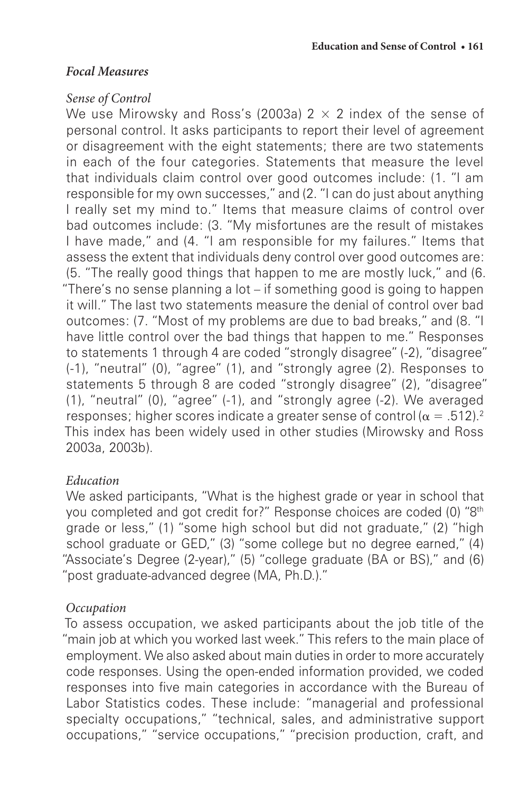#### *Focal Measures*

#### *Sense of Control*

We use Mirowsky and Ross's (2003a)  $2 \times 2$  index of the sense of personal control. It asks participants to report their level of agreement or disagreement with the eight statements; there are two statements in each of the four categories. Statements that measure the level that individuals claim control over good outcomes include: (1. "I am responsible for my own successes," and (2. "I can do just about anything I really set my mind to." Items that measure claims of control over bad outcomes include: (3. "My misfortunes are the result of mistakes I have made," and (4. "I am responsible for my failures." Items that assess the extent that individuals deny control over good outcomes are: (5. "The really good things that happen to me are mostly luck," and (6. "There's no sense planning a lot – if something good is going to happen it will." The last two statements measure the denial of control over bad outcomes: (7. "Most of my problems are due to bad breaks," and (8. "I have little control over the bad things that happen to me." Responses to statements 1 through 4 are coded "strongly disagree" (-2), "disagree" (-1), "neutral" (0), "agree" (1), and "strongly agree (2). Responses to statements 5 through 8 are coded "strongly disagree" (2), "disagree" (1), "neutral" (0), "agree" (-1), and "strongly agree (-2). We averaged responses; higher scores indicate a greater sense of control ( $\alpha = .512$ ).<sup>2</sup> This index has been widely used in other studies (Mirowsky and Ross 2003a, 2003b).

## *Education*

We asked participants, "What is the highest grade or year in school that you completed and got credit for?" Response choices are coded (0) "8th grade or less," (1) "some high school but did not graduate," (2) "high school graduate or GED," (3) "some college but no degree earned," (4) "Associate's Degree (2-year)," (5) "college graduate (BA or BS)," and (6) "post graduate-advanced degree (MA, Ph.D.)."

## *Occupation*

To assess occupation, we asked participants about the job title of the "main job at which you worked last week." This refers to the main place of employment. We also asked about main duties in order to more accurately code responses. Using the open-ended information provided, we coded responses into five main categories in accordance with the Bureau of Labor Statistics codes. These include: "managerial and professional specialty occupations," "technical, sales, and administrative support occupations," "service occupations," "precision production, craft, and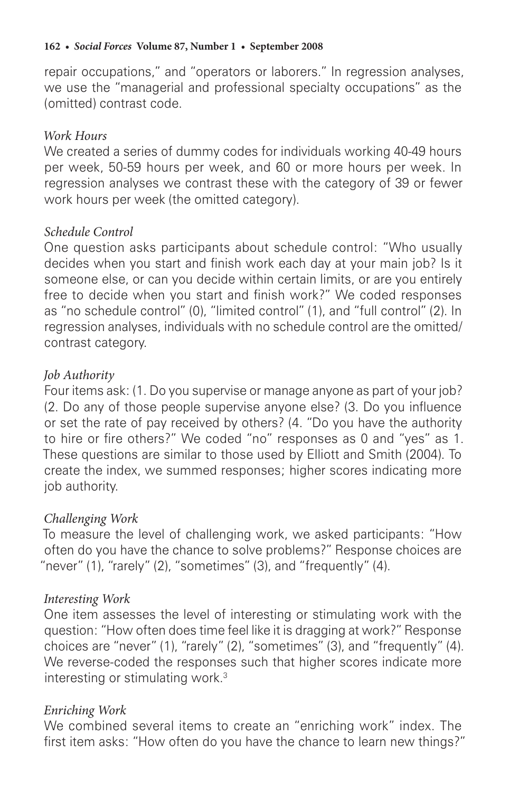repair occupations," and "operators or laborers." In regression analyses, we use the "managerial and professional specialty occupations" as the (omitted) contrast code.

#### *Work Hours*

We created a series of dummy codes for individuals working 40-49 hours per week, 50-59 hours per week, and 60 or more hours per week. In regression analyses we contrast these with the category of 39 or fewer work hours per week (the omitted category).

#### *Schedule Control*

One question asks participants about schedule control: "Who usually decides when you start and finish work each day at your main job? Is it someone else, or can you decide within certain limits, or are you entirely free to decide when you start and finish work?" We coded responses as "no schedule control" (0), "limited control" (1), and "full control" (2). In regression analyses, individuals with no schedule control are the omitted/ contrast category.

#### *Job Authority*

Four items ask: (1. Do you supervise or manage anyone as part of your job? (2. Do any of those people supervise anyone else? (3. Do you influence or set the rate of pay received by others? (4. "Do you have the authority to hire or fire others?" We coded "no" responses as 0 and "yes" as 1. These questions are similar to those used by Elliott and Smith (2004). To create the index, we summed responses; higher scores indicating more job authority.

## *Challenging Work*

To measure the level of challenging work, we asked participants: "How often do you have the chance to solve problems?" Response choices are "never" (1), "rarely" (2), "sometimes" (3), and "frequently" (4).

#### *Interesting Work*

One item assesses the level of interesting or stimulating work with the question: "How often does time feel like it is dragging at work?" Response choices are "never" (1), "rarely" (2), "sometimes" (3), and "frequently" (4). We reverse-coded the responses such that higher scores indicate more interesting or stimulating work.<sup>3</sup>

#### *Enriching Work*

We combined several items to create an "enriching work" index. The first item asks: "How often do you have the chance to learn new things?"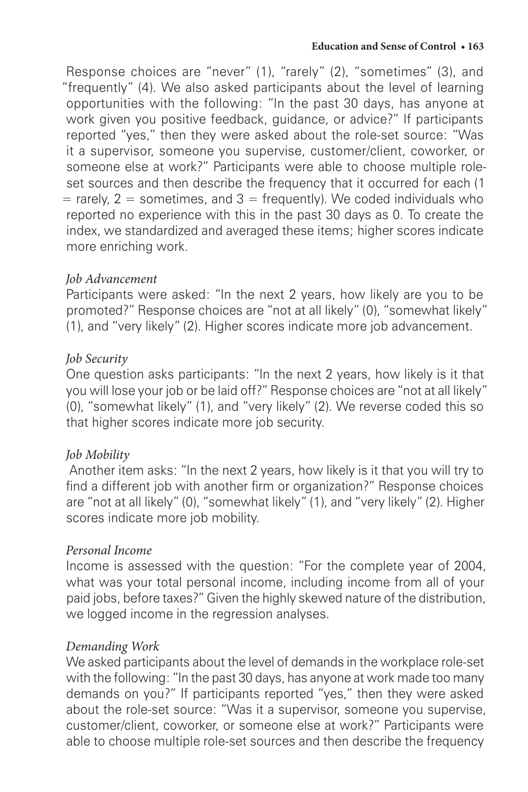Response choices are "never" (1), "rarely" (2), "sometimes" (3), and "frequently" (4). We also asked participants about the level of learning opportunities with the following: "In the past 30 days, has anyone at work given you positive feedback, guidance, or advice?" If participants reported "yes," then they were asked about the role-set source: "Was it a supervisor, someone you supervise, customer/client, coworker, or someone else at work?" Participants were able to choose multiple roleset sources and then describe the frequency that it occurred for each (1  $=$  rarely, 2 = sometimes, and 3 = frequently). We coded individuals who reported no experience with this in the past 30 days as 0. To create the index, we standardized and averaged these items; higher scores indicate more enriching work.

## *Job Advancement*

Participants were asked: "In the next 2 years, how likely are you to be promoted?" Response choices are "not at all likely" (0), "somewhat likely" (1), and "very likely" (2). Higher scores indicate more job advancement.

#### *Job Security*

One question asks participants: "In the next 2 years, how likely is it that you will lose your job or be laid off?" Response choices are "not at all likely" (0), "somewhat likely" (1), and "very likely" (2). We reverse coded this so that higher scores indicate more job security.

## *Job Mobility*

 Another item asks: "In the next 2 years, how likely is it that you will try to find a different job with another firm or organization?" Response choices are "not at all likely" (0), "somewhat likely" (1), and "very likely" (2). Higher scores indicate more job mobility.

## *Personal Income*

Income is assessed with the question: "For the complete year of 2004, what was your total personal income, including income from all of your paid jobs, before taxes?" Given the highly skewed nature of the distribution, we logged income in the regression analyses.

## *Demanding Work*

We asked participants about the level of demands in the workplace role-set with the following: "In the past 30 days, has anyone at work made too many demands on you?" If participants reported "yes," then they were asked about the role-set source: "Was it a supervisor, someone you supervise, customer/client, coworker, or someone else at work?" Participants were able to choose multiple role-set sources and then describe the frequency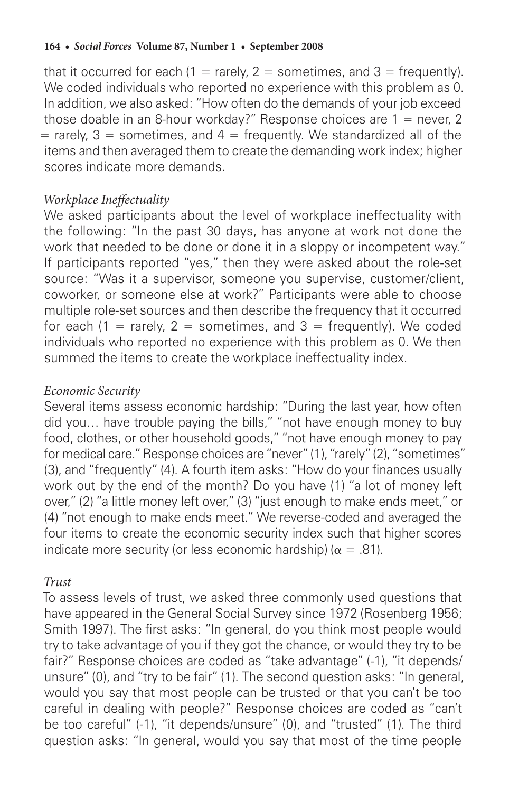that it occurred for each  $(1 = \text{rarely}, 2 = \text{sometimes}, \text{and } 3 = \text{frequently}).$ We coded individuals who reported no experience with this problem as 0. In addition, we also asked: "How often do the demands of your job exceed those doable in an 8-hour workday?" Response choices are  $1 =$  never, 2  $=$  rarely, 3 = sometimes, and 4 = frequently. We standardized all of the items and then averaged them to create the demanding work index; higher scores indicate more demands.

#### *Workplace Ineffectuality*

We asked participants about the level of workplace ineffectuality with the following: "In the past 30 days, has anyone at work not done the work that needed to be done or done it in a sloppy or incompetent way." If participants reported "yes," then they were asked about the role-set source: "Was it a supervisor, someone you supervise, customer/client, coworker, or someone else at work?" Participants were able to choose multiple role-set sources and then describe the frequency that it occurred for each  $(1 = \text{rarely}, 2 = \text{sometimes}, \text{and } 3 = \text{frequently})$ . We coded individuals who reported no experience with this problem as 0. We then summed the items to create the workplace ineffectuality index.

#### *Economic Security*

Several items assess economic hardship: "During the last year, how often did you… have trouble paying the bills," "not have enough money to buy food, clothes, or other household goods," "not have enough money to pay for medical care." Response choices are "never" (1), "rarely" (2), "sometimes" (3), and "frequently" (4). A fourth item asks: "How do your finances usually work out by the end of the month? Do you have (1) "a lot of money left over," (2) "a little money left over," (3) "just enough to make ends meet," or (4) "not enough to make ends meet." We reverse-coded and averaged the four items to create the economic security index such that higher scores indicate more security (or less economic hardship) ( $\alpha = .81$ ).

#### *Trust*

To assess levels of trust, we asked three commonly used questions that have appeared in the General Social Survey since 1972 (Rosenberg 1956; Smith 1997). The first asks: "In general, do you think most people would try to take advantage of you if they got the chance, or would they try to be fair?" Response choices are coded as "take advantage" (-1), "it depends/ unsure" (0), and "try to be fair" (1). The second question asks: "In general, would you say that most people can be trusted or that you can't be too careful in dealing with people?" Response choices are coded as "can't be too careful" (-1), "it depends/unsure" (0), and "trusted" (1). The third question asks: "In general, would you say that most of the time people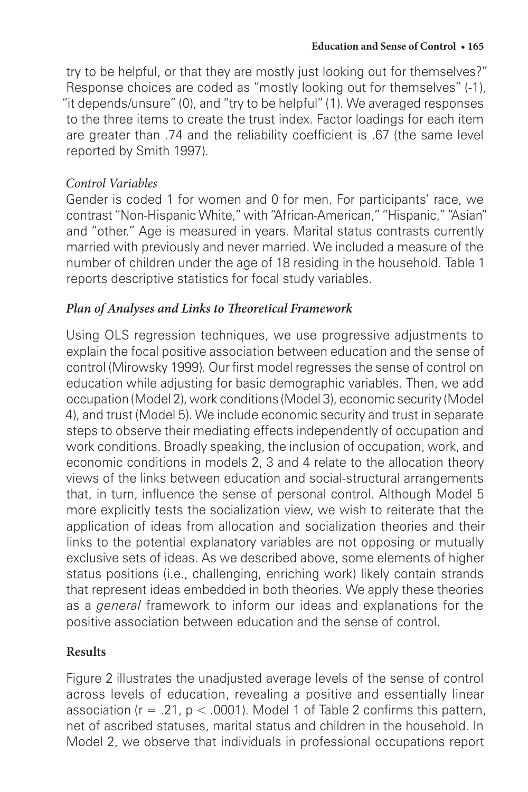try to be helpful, or that they are mostly just looking out for themselves?" Response choices are coded as "mostly looking out for themselves" (-1), "it depends/unsure" (0), and "try to be helpful" (1). We averaged responses to the three items to create the trust index. Factor loadings for each item are greater than .74 and the reliability coefficient is .67 (the same level reported by Smith 1997).

#### *Control Variables*

Gender is coded 1 for women and 0 for men. For participants' race, we contrast "Non-Hispanic White," with "African-American," "Hispanic," "Asian" and "other." Age is measured in years. Marital status contrasts currently married with previously and never married. We included a measure of the number of children under the age of 18 residing in the household. Table 1 reports descriptive statistics for focal study variables.

## *Plan of Analyses and Links to Theoretical Framework*

Using OLS regression techniques, we use progressive adjustments to explain the focal positive association between education and the sense of control (Mirowsky 1999). Our first model regresses the sense of control on education while adjusting for basic demographic variables. Then, we add occupation (Model 2), work conditions (Model 3), economic security (Model 4), and trust (Model 5). We include economic security and trust in separate steps to observe their mediating effects independently of occupation and work conditions. Broadly speaking, the inclusion of occupation, work, and economic conditions in models 2, 3 and 4 relate to the allocation theory views of the links between education and social-structural arrangements that, in turn, influence the sense of personal control. Although Model 5 more explicitly tests the socialization view, we wish to reiterate that the application of ideas from allocation and socialization theories and their links to the potential explanatory variables are not opposing or mutually exclusive sets of ideas. As we described above, some elements of higher status positions (i.e., challenging, enriching work) likely contain strands that represent ideas embedded in both theories. We apply these theories as a *general* framework to inform our ideas and explanations for the positive association between education and the sense of control.

## **Results**

Figure 2 illustrates the unadjusted average levels of the sense of control across levels of education, revealing a positive and essentially linear association ( $r = .21$ ,  $p < .0001$ ). Model 1 of Table 2 confirms this pattern, net of ascribed statuses, marital status and children in the household. In Model 2, we observe that individuals in professional occupations report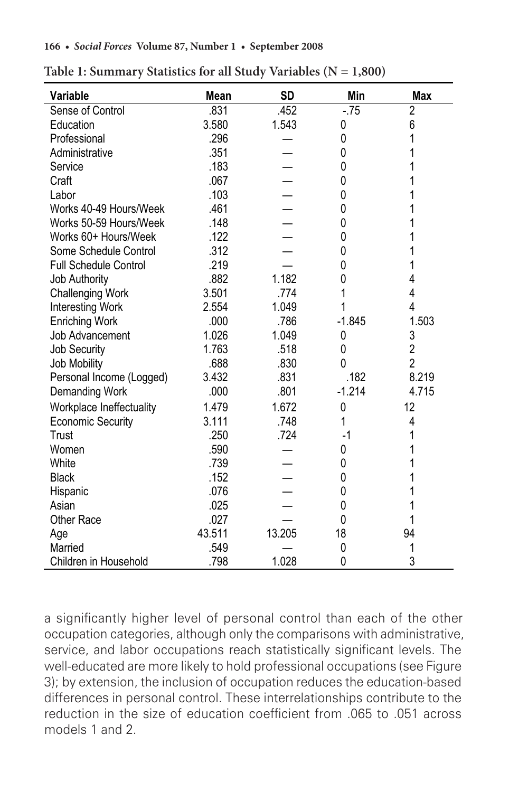| Variable                     | Mean   | <b>SD</b> | Min      | <b>Max</b>     |
|------------------------------|--------|-----------|----------|----------------|
| Sense of Control             | .831   | .452      | $-75$    | $\overline{2}$ |
| Education                    | 3.580  | 1.543     | 0        | 6              |
| Professional                 | .296   |           | 0        | 1              |
| Administrative               | .351   |           | 0        | 1              |
| Service                      | .183   |           | 0        |                |
| Craft                        | .067   |           | 0        |                |
| Labor                        | .103   |           | 0        |                |
| Works 40-49 Hours/Week       | .461   |           | 0        |                |
| Works 50-59 Hours/Week       | .148   |           | 0        |                |
| Works 60+ Hours/Week         | .122   |           | 0        | 1              |
| Some Schedule Control        | .312   |           | $\Omega$ | 1              |
| <b>Full Schedule Control</b> | .219   |           | 0        | 1              |
| <b>Job Authority</b>         | .882   | 1.182     | 0        | 4              |
| <b>Challenging Work</b>      | 3.501  | .774      | 1        | 4              |
| Interesting Work             | 2.554  | 1.049     | 1        | 4              |
| <b>Enriching Work</b>        | .000   | .786      | $-1.845$ | 1.503          |
| Job Advancement              | 1.026  | 1.049     | 0        | 3              |
| <b>Job Security</b>          | 1.763  | .518      | 0        | $\overline{2}$ |
| Job Mobility                 | .688   | .830      | $\Omega$ | $\overline{2}$ |
| Personal Income (Logged)     | 3.432  | .831      | .182     | 8.219          |
| Demanding Work               | .000   | .801      | $-1.214$ | 4.715          |
| Workplace Ineffectuality     | 1.479  | 1.672     | 0        | 12             |
| <b>Economic Security</b>     | 3.111  | .748      | 1        | 4              |
| Trust                        | .250   | .724      | -1       | 1              |
| Women                        | .590   |           | 0        |                |
| White                        | .739   |           | 0        |                |
| <b>Black</b>                 | .152   |           | 0        |                |
| Hispanic                     | .076   |           | 0        |                |
| Asian                        | .025   |           | 0        |                |
| <b>Other Race</b>            | .027   |           | 0        | 1              |
| Age                          | 43.511 | 13.205    | 18       | 94             |
| Married                      | .549   |           | 0        | 1              |
| Children in Household        | .798   | 1.028     | 0        | 3              |

**Table 1: Summary Statistics for all Study Variables (N = 1,800) Table 1: Summary Statistics for all Study Variables (N = 1,800)** 

a significantly higher level of personal control than each of the other occupation categories, although only the comparisons with administrative, service, and labor occupations reach statistically significant levels. The well-educated are more likely to hold professional occupations (see Figure 3); by extension, the inclusion of occupation reduces the education-based differences in personal control. These interrelationships contribute to the reduction in the size of education coefficient from .065 to .051 across models 1 and 2.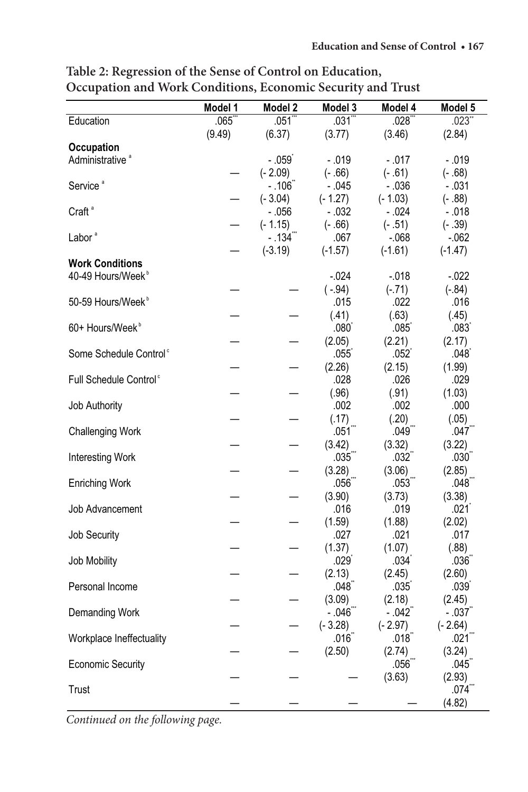|                                    | Model 1 | Model 2               | Model 3        | Model 4           | Model 5           |
|------------------------------------|---------|-----------------------|----------------|-------------------|-------------------|
| Education                          | .065    | .051                  | .031`          | .028              | .023"             |
|                                    | (9.49)  | (6.37)                | (3.77)         | (3.46)            | (2.84)            |
| Occupation                         |         |                       |                |                   |                   |
| Administrative <sup>a</sup>        |         | $-.059°$              | - .019         | - .017            | - .019            |
|                                    |         | (- 2.09)              | $(-.66)$       | $(-.61)$          | $(-.68)$          |
| Service <sup>a</sup>               |         | - .106໊               | - .045         | $-.036$           | - .031            |
|                                    |         | $(-3.04)$             | $(-1.27)$      | $(-1.03)$         | $(-.88)$          |
| Craft <sup>a</sup>                 |         | - .056                | - .032         | - .024            | - .018            |
|                                    |         | $(-1.15)$             | $(-.66)$       | $(-.51)$          | $(-.39)$          |
| Labor <sup>ª</sup>                 |         | $-.134$ <sup>""</sup> | .067           | $-068$            | $-062$            |
|                                    |         | $(-3.19)$             | $(-1.57)$      | $(-1.61)$         | $(-1.47)$         |
| <b>Work Conditions</b>             |         |                       |                |                   |                   |
| 40-49 Hours/Week <sup>b</sup>      |         |                       | $-0.024$       | $-0.018$          | $-0.022$          |
|                                    |         |                       | $(-.94)$       | $(-.71)$          | $(-.84)$          |
| 50-59 Hours/Week <sup>b</sup>      |         |                       | .015           | .022              | .016              |
|                                    |         |                       | (.41)          | (.63)             | (.45)             |
| 60+ Hours/Week <sup>b</sup>        |         |                       | .080           | .085              | .083              |
|                                    |         |                       | (2.05)         | (2.21)            | (2.17)            |
| Some Schedule Control <sup>c</sup> |         |                       | .055           | .052              | .048              |
|                                    |         |                       | (2.26)         | (2.15)            | (1.99)            |
| Full Schedule Control <sup>c</sup> |         |                       | .028           | .026              | .029              |
|                                    |         |                       | (.96)          | (.91)             | (1.03)            |
| Job Authority                      |         |                       | .002           | .002              | .000              |
|                                    |         |                       | (.17)          | (.20)             | (.05)             |
| <b>Challenging Work</b>            |         |                       | .051           | .049              | .047              |
|                                    |         |                       | (3.42)         | (3.32)            | (3.22)            |
| Interesting Work                   |         |                       | $.035^{\circ}$ | .032 <sup>°</sup> | .030              |
|                                    |         |                       | (3.28)         | (3.06)            | (2.85)            |
| <b>Enriching Work</b>              |         |                       | .056           | .053              | .048              |
|                                    |         |                       | (3.90)         | (3.73)            | (3.38)            |
| Job Advancement                    |         |                       | .016           | .019              | .021              |
|                                    |         |                       | (1.59)         | (1.88)            | (2.02)            |
| Job Security                       |         |                       | .027           | .021              | .017              |
|                                    |         |                       | (1.37)         | (1.07)            | (.88)             |
| Job Mobility                       |         |                       | .029           | .034              | .036 <sup>°</sup> |
|                                    |         |                       | (2.13)         | (2.45)            | (2.60)            |
| Personal Income                    |         |                       | .048           | .035              | .039              |
|                                    |         |                       | (3.09)         | (2.18)            | (2.45)            |
| Demanding Work                     |         |                       | - .046         | $-.042$           | - .037            |
|                                    |         |                       | $(-3.28)$      | $(-2.97)$         | $(-2.64)$         |
| Workplace Ineffectuality           |         |                       | $.016^\circ$   | $.018^\circ$      | .021              |
|                                    |         |                       | (2.50)         | (2.74)            | (3.24)            |
| <b>Economic Security</b>           |         |                       |                | $.056^\circ$      | .045              |
|                                    |         |                       |                | (3.63)            | (2.93)            |
| Trust                              |         |                       |                |                   | $.074^{-}$        |
|                                    |         |                       |                |                   | (4.82)            |

Table 2: Regression of the Sense of Control on Education, **Occupation and Work Conditions, Economic Security and Trust Trust** 

*Continued on the following page.*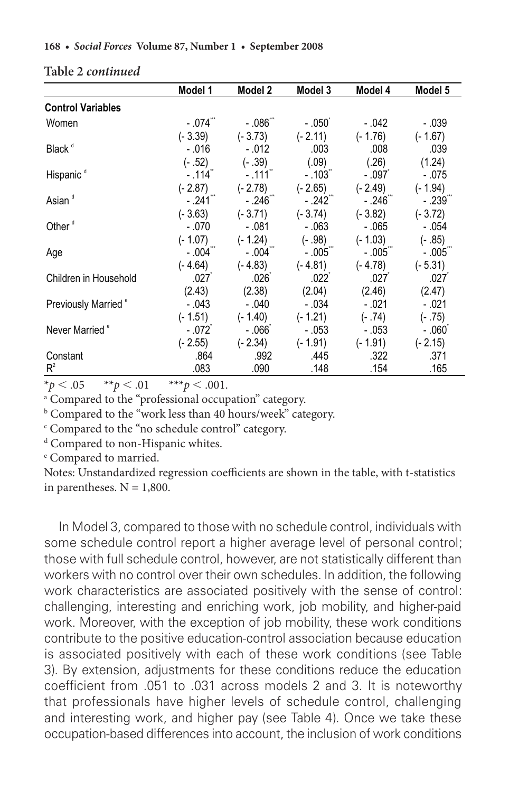|                                 | Model 1               | Model 2            | Model 3                | Model 4   | Model 5               |
|---------------------------------|-----------------------|--------------------|------------------------|-----------|-----------------------|
| <b>Control Variables</b>        |                       |                    |                        |           |                       |
| Women                           | $-.074$ $"$           | - .086 -           | - .050 ً               | - .042    | - .039                |
|                                 | $(-3.39)$             | $(-3.73)$          | $(-2.11)$              | $(-1.76)$ | $(-1.67)$             |
| Black <sup>d</sup>              | $-.016$               | $-.012$            | .003                   | .008      | .039                  |
|                                 | $(-.52)$              | $(-.39)$           | (.09)                  | (.26)     | (1.24)                |
| Hispanic <sup>d</sup>           | $-.114$ <sup>"</sup>  | $-.111$ $^{\circ}$ | $-0.103$               | $-.097°$  | $-.075$               |
|                                 | $(-2.87)$             | $(-2.78)$          | $(-2.65)$              | $(-2.49)$ | $(-1.94)$             |
| Asian <sup>d</sup>              | $-.241$ <sup>""</sup> | - .246ື            | $-.242$ <sup>***</sup> | $-0.246$  | $-.239^-$             |
|                                 | $(-3.63)$             | $(-3.71)$          | $(-3.74)$              | $(-3.82)$ | $(-3.72)$             |
| Other <sup>d</sup>              | $-.070$               | $-.081$            | $-.063$                | $-.065$   | $-.054$               |
|                                 | $(-1.07)$             | $(-1.24)$          | $(-.98)$               | $(-1.03)$ | $(-.85)$              |
| Age                             | $-.004$               | - .004  ̄          | $-.005$                | $-0.005$  | $-.005$ <sup>""</sup> |
|                                 | $(-4.64)$             | $(-4.83)$          | $(-4.81)$              | (- 4.78)  | $(-5.31)$             |
| Children in Household           | .027                  | .026 <sup>°</sup>  | .022 <sup>°</sup>      | .027      | .027                  |
|                                 | (2.43)                | (2.38)             | (2.04)                 | (2.46)    | (2.47)                |
| Previously Married <sup>®</sup> | $-.043$               | $-.040$            | $-.034$                | $-.021$   | $-.021$               |
|                                 | $(-1.51)$             | $(-1.40)$          | $(-1.21)$              | $(-.74)$  | $(-.75)$              |
| Never Married <sup>e</sup>      | $-.072°$              | $-066^\circ$       | $-.053$                | - .053    | $-.060°$              |
|                                 | $(-2.55)$             | $(-2.34)$          | $(-1.91)$              | $(-1.91)$ | $(-2.15)$             |
| Constant                        | .864                  | .992               | .445                   | .322      | .371                  |
| $R^2$                           | .083                  | .090               | .148                   | .154      | .165                  |

## Table 2 *continued*

 $\frac{1}{x}$ ,  $\frac{1}{x}$ , .05 \*\**p* < .01 \*\*\**p* < .001.  $*_p$   $< .05$ 

<sup>a</sup> Compared to the "professional occupation" category.

<sup>b</sup> Compared to the "work less than 40 hours/week" category.

<sup>c</sup> Compared to the "no schedule control" category.

<sup>d</sup> Compared to non-Hispanic whites.

e Compared to married.

Enriching Work I coemeients al -.056\*\*\*\*\*\*  $100$ W $11$ .<br>1533 idie, w .048\*\*\* Notes: Unstandardized regression coefficients are shown in the table, with t-statistics in parentheses.  $N = 1,800$ .

In Model 3, compared to those with no schedule control, individuals with some schedule control report a higher average level of personal control; those with full schedule control, however, are not statistically different than workers with no control over their own schedules. In addition, the following work characteristics are associated positively with the sense of control: challenging, interesting and enriching work, job mobility, and higher-paid work. Moreover, with the exception of job mobility, these work conditions contribute to the positive education-control association because education is associated positively with each of these work conditions (see Table 3). By extension, adjustments for these conditions reduce the education coefficient from .051 to .031 across models 2 and 3. It is noteworthy that professionals have higher levels of schedule control, challenging and interesting work, and higher pay (see Table 4). Once we take these occupation-based differences into account, the inclusion of work conditions hose with no .<br>. . eaule .<br>. . oi, in -.017\*\*  $\mathsf{MS} \mathsf{W}$ work characteristics are associated positively with the sense of contr  $\frac{1}{2}$  denote the  $\frac{1}{2}$  denote the  $\frac{1}{2}$ .0000<br>.1. . . . (3.63)  $rac{0}{T}$ . ;e ia<br>.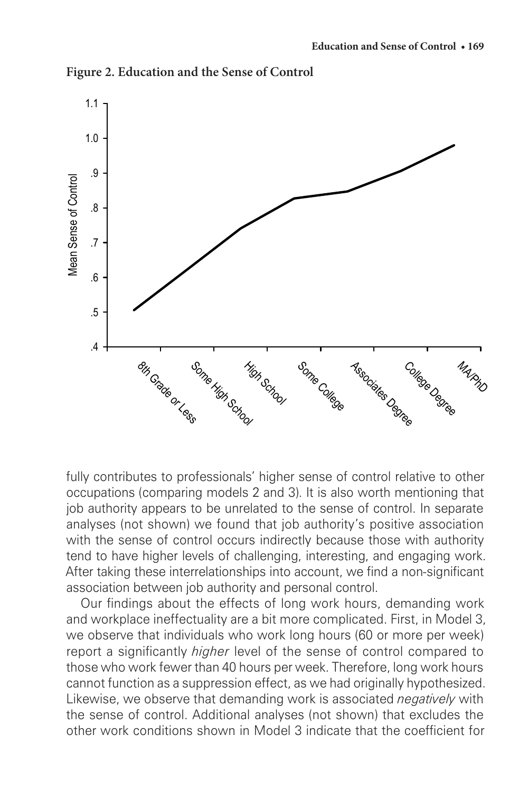

**Figure 2. Education and the Sense of Control Figure 2. Education and the Sense of Control**

fully contributes to professionals' higher sense of control relative to other occupations (comparing models 2 and 3). It is also worth mentioning that job authority appears to be unrelated to the sense of control. In separate analyses (not shown) we found that job authority's positive association with the sense of control occurs indirectly because those with authority tend to have higher levels of challenging, interesting, and engaging work. After taking these interrelationships into account, we find a non-significant association between job authority and personal control.

Our findings about the effects of long work hours, demanding work and workplace ineffectuality are a bit more complicated. First, in Model 3, we observe that individuals who work long hours (60 or more per week) report a significantly *higher* level of the sense of control compared to those who work fewer than 40 hours per week. Therefore, long work hours cannot function as a suppression effect, as we had originally hypothesized. Likewise, we observe that demanding work is associated *negatively* with the sense of control. Additional analyses (not shown) that excludes the other work conditions shown in Model 3 indicate that the coefficient for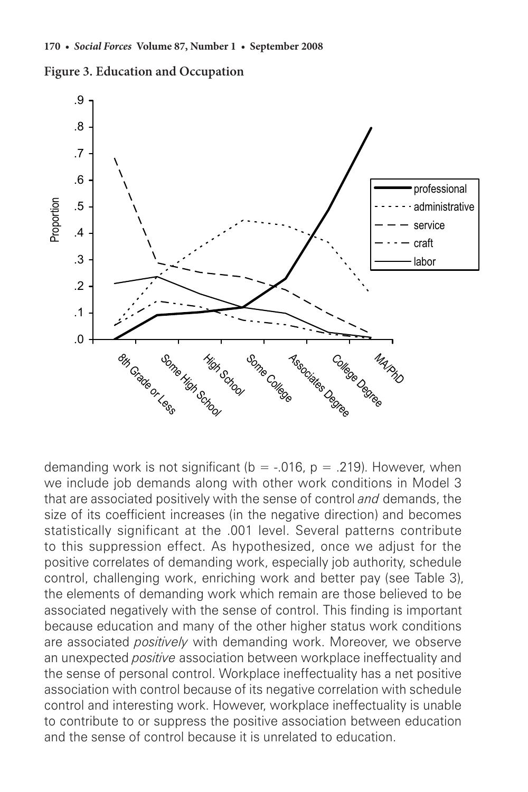



demanding work is not significant ( $b = -0.016$ ,  $p = 0.219$ ). However, when we include job demands along with other work conditions in Model 3 that are associated positively with the sense of control *and* demands, the size of its coefficient increases (in the negative direction) and becomes statistically significant at the .001 level. Several patterns contribute to this suppression effect. As hypothesized, once we adjust for the positive correlates of demanding work, especially job authority, schedule control, challenging work, enriching work and better pay (see Table 3), the elements of demanding work which remain are those believed to be associated negatively with the sense of control. This finding is important because education and many of the other higher status work conditions are associated *positively* with demanding work. Moreover, we observe an unexpected *positive* association between workplace ineffectuality and the sense of personal control. Workplace ineffectuality has a net positive association with control because of its negative correlation with schedule control and interesting work. However, workplace ineffectuality is unable to contribute to or suppress the positive association between education and the sense of control because it is unrelated to education.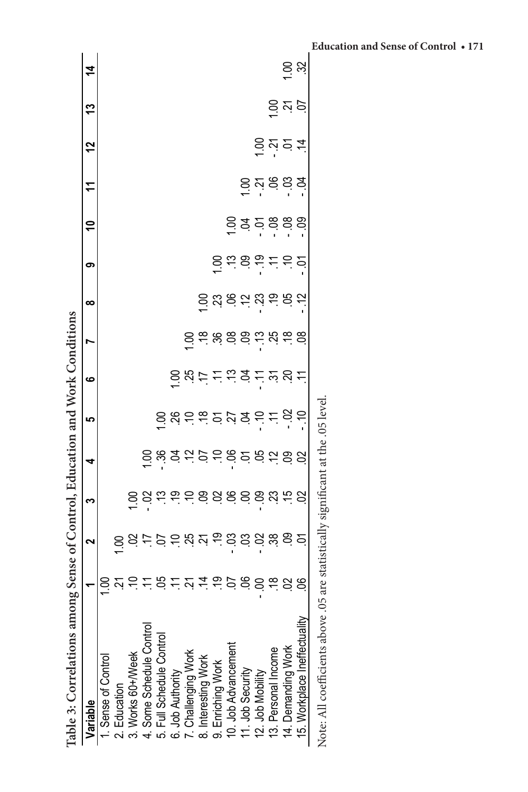| Table 3: Correlations amon              |                | g Sense of Control, Education and Work Conditions |                |                             |          |                   |                              |                              |             |                         |                                   |          |                             |
|-----------------------------------------|----------------|---------------------------------------------------|----------------|-----------------------------|----------|-------------------|------------------------------|------------------------------|-------------|-------------------------|-----------------------------------|----------|-----------------------------|
| Variable                                |                | 2                                                 | ო              | 4                           | <u>က</u> | ဖ                 | ∞                            | ග                            | $\tilde{=}$ |                         | $\frac{2}{3}$                     | 13       | $\dot{a}$                   |
| i. Sense of Control                     | <u>ខ</u>       |                                                   |                |                             |          |                   |                              |                              |             |                         |                                   |          |                             |
| 2. Education                            |                |                                                   |                |                             |          |                   |                              |                              |             |                         |                                   |          |                             |
| 3. Works 60+/Week                       | 25282248288888 |                                                   |                |                             |          |                   |                              |                              |             |                         |                                   |          |                             |
| 4. Some Schedule Control                |                |                                                   |                |                             |          |                   |                              |                              |             |                         |                                   |          |                             |
| 5. Full Schedule Control                |                |                                                   | 88666888888688 | 882252858288<br>88225285828 |          |                   |                              |                              |             |                         |                                   |          |                             |
| 6. Job Authority<br>7. Challenging Work |                |                                                   |                |                             |          |                   |                              |                              |             |                         |                                   |          |                             |
|                                         |                |                                                   |                |                             |          |                   |                              |                              |             |                         |                                   |          |                             |
| 8. Interesting Work                     |                |                                                   |                |                             |          |                   |                              |                              |             |                         |                                   |          |                             |
| 9. Enriching Work                       |                |                                                   |                |                             |          | <u>るなけとこっとざいと</u> | <u>ទី ដូ និ ត ដូ ត ន ត ត</u> |                              |             |                         |                                   |          |                             |
| 10. Job Advancement                     |                |                                                   |                |                             |          |                   |                              | 5 = 5 = 5 = 5<br>2 = 5 = 5 = |             |                         |                                   |          |                             |
| 11. Job Security                        |                |                                                   |                |                             |          |                   |                              |                              |             |                         |                                   |          |                             |
| 12. Job Mobility                        |                |                                                   |                |                             |          |                   |                              |                              |             | 등 <u>'</u><br>응 선 응 응 육 |                                   |          |                             |
| 13. Personal Income                     |                |                                                   |                |                             |          |                   |                              |                              |             |                         |                                   |          |                             |
| 14. Demanding Work                      |                |                                                   |                |                             |          |                   |                              |                              |             |                         | <u>ត់ ។</u><br>ទី <u>ង</u> ់ ខំ ភ | ទ្ទី ខ្ទ | $\frac{1}{2}$ $\frac{3}{2}$ |
| 15. Workplace Ineffectuality            |                |                                                   |                |                             |          |                   |                              |                              |             |                         |                                   |          |                             |
|                                         |                |                                                   |                |                             |          |                   |                              |                              |             |                         |                                   |          |                             |

Note: All coefficients above .05 are statistically significant at the .05 level. Note: All coefficients above .05 are statistically significant at the .05 level.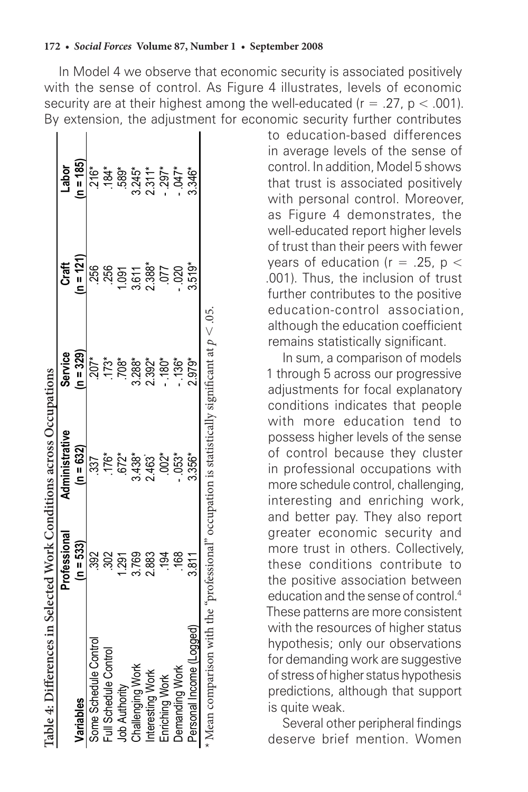Some Schedule Control .392 .337 .337 .207\* .206 .256 .216\* Full Schedule Control .302 .176\* .173\* .256 .184\* كام Authority 1.291 .689. وكان المكان المستمر المستمر المستمر المستمر المستمر المستمر المستمر المستمر المستمر ا Challengiers 3.745\* 3.288\* 3.288\* 3.288\* 3.288\* 3.288\* 3.288\* 3.245\* 3.245\* 3.245\* 3.245\* 3.245\* 3.245\* 3.245\* Interesting Work 2.883 2.883 2.463 2.463 2.392\* 2.388\* 2.311\* **(n = 121) Craft**   $1.091$ <br> $3.538$ <br> $2.38$ 256<br>250 **(n = 329) Service**   $173*$  $708*$  $288*$ -<br>207  $2.392*$ **Table 4: Differences in Selected Work Conditions across Occupations Table 4: Differences in Selected Work Conditions across Occupations**  Table 4: Differences in Selected Work Conditions across Occupations **Administrative**  Administrative **(n = 632)**   $3.438*$  $176*$ 2.463 337 **Professional**  Professional **(n = 533)**   $\frac{2}{3}$  $\frac{2}{3}$ 291 3.769 2.883 Some Schedule Control Full Schedule Control Challenging Work Interesting Work Job Authority **Variables**  Variables

Enriching Work .194 .002\* - .180\* .077 - .297\* \*Ltp0 - .0020 - .053 - .048 - .048 - .048 - .020 - .020 - .020 - .020 - .047\* .047 Personal Income (Personal Income 2.979; 3.346\* 2.979; 3.346\* 3.3568 3.346\* 3.346\* 3.346\* 3.346\* 3.34

 $053*$  $3.356$ <sup>\*</sup>

 $.002*$ 

 $\frac{5}{2}$  $\frac{8}{2}$  $3.811$ 

 $.180*$ 

 $136$ <sup>\*</sup>  $2.979*$  \* Mean comparison with the "professional" occupation is statistically significant at

Personal Income (Logged)

Demanding Work

Enriching Work

*p*  $\lesssim 0$ 5.

 $519*$ 

.020 <u>СС</u>

**Labor (n = 185)** 

 $-297$  $.047*$ 3.346\*

to education-based differences in average levels of the sense of control. In addition, Model 5 shows that trust is associated positively with personal control. Moreover, as Figure 4 demonstrates, the well-educated report higher levels of trust than their peers with fewer years of education ( $r = .25$ ,  $p <$ .001). Thus, the inclusion of trust further contributes to the positive education-control association, although the education coefficient remains statistically significant.

In sum, a comparison of models 1 through 5 across our progressive adjustments for focal explanatory conditions indicates that people with more education tend to possess higher levels of the sense of control because they cluster in professional occupations with more schedule control, challenging, interesting and enriching work, and better pay. They also report greater economic security and more trust in others. Collectively, these conditions contribute to the positive association between education and the sense of control.4 These patterns are more consistent with the resources of higher status hypothesis; only our observations for demanding work are suggestive of stress of higher status hypothesis predictions, although that support is quite weak.

Several other peripheral findings deserve brief mention. Women

#### **172 •** *Social Forces* **Volume 87, Number 1 • September 2008**

In Model 4 we observe that economic security is associated positively with the sense of control. As Figure 4 illustrates, levels of economic security are at their highest among the well-educated ( $r = .27$ ,  $p < .001$ ). By extension, the adjustment for economic security further contributes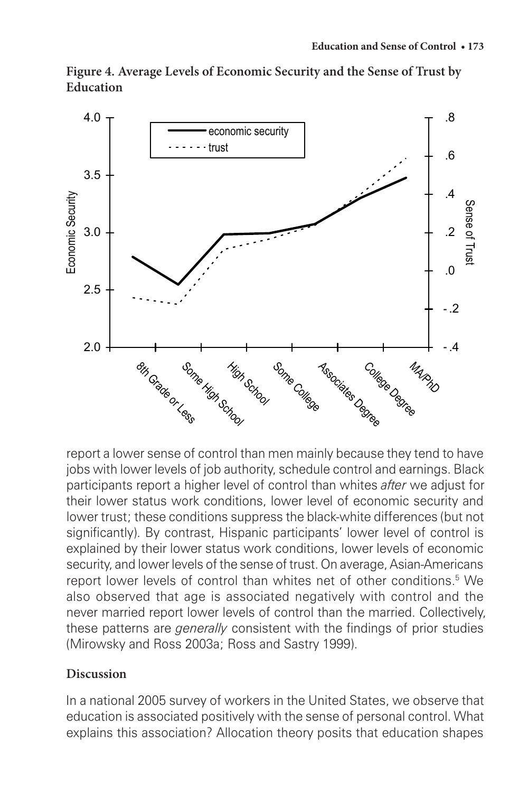**Figure 4. Average Levels of Economic Security and the Sense of Trust by Figure 4. Average Levels of Economic Security and the Sense of Trust by Education Education**



report a lower sense of control than men mainly because they tend to have jobs with lower levels of job authority, schedule control and earnings. Black participants report a higher level of control than whites *after* we adjust for their lower status work conditions, lower level of economic security and lower trust; these conditions suppress the black-white differences (but not significantly). By contrast, Hispanic participants' lower level of control is explained by their lower status work conditions, lower levels of economic security, and lower levels of the sense of trust. On average, Asian-Americans report lower levels of control than whites net of other conditions.<sup>5</sup> We also observed that age is associated negatively with control and the never married report lower levels of control than the married. Collectively, these patterns are *generally* consistent with the findings of prior studies (Mirowsky and Ross 2003a; Ross and Sastry 1999).

#### **Discussion**

In a national 2005 survey of workers in the United States, we observe that education is associated positively with the sense of personal control. What explains this association? Allocation theory posits that education shapes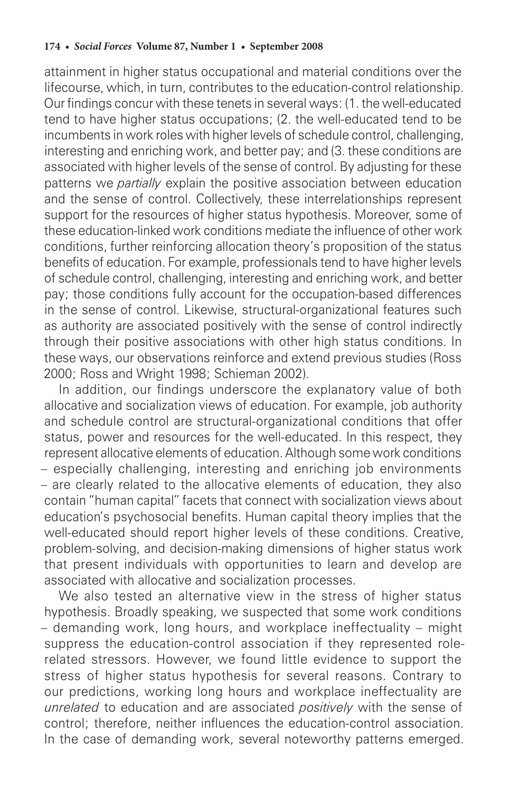attainment in higher status occupational and material conditions over the lifecourse, which, in turn, contributes to the education-control relationship. Our findings concur with these tenets in several ways: (1. the well-educated tend to have higher status occupations; (2. the well-educated tend to be incumbents in work roles with higher levels of schedule control, challenging, interesting and enriching work, and better pay; and (3. these conditions are associated with higher levels of the sense of control. By adjusting for these patterns we *partially* explain the positive association between education and the sense of control. Collectively, these interrelationships represent support for the resources of higher status hypothesis. Moreover, some of these education-linked work conditions mediate the influence of other work conditions, further reinforcing allocation theory's proposition of the status benefits of education. For example, professionals tend to have higher levels of schedule control, challenging, interesting and enriching work, and better pay; those conditions fully account for the occupation-based differences in the sense of control. Likewise, structural-organizational features such as authority are associated positively with the sense of control indirectly through their positive associations with other high status conditions. In these ways, our observations reinforce and extend previous studies (Ross 2000; Ross and Wright 1998; Schieman 2002).

In addition, our findings underscore the explanatory value of both allocative and socialization views of education. For example, job authority and schedule control are structural-organizational conditions that offer status, power and resources for the well-educated. In this respect, they represent allocative elements of education. Although some work conditions – especially challenging, interesting and enriching job environments – are clearly related to the allocative elements of education, they also contain "human capital" facets that connect with socialization views about education's psychosocial benefits. Human capital theory implies that the well-educated should report higher levels of these conditions. Creative, problem-solving, and decision-making dimensions of higher status work that present individuals with opportunities to learn and develop are associated with allocative and socialization processes.

We also tested an alternative view in the stress of higher status hypothesis. Broadly speaking, we suspected that some work conditions – demanding work, long hours, and workplace ineffectuality – might suppress the education-control association if they represented rolerelated stressors. However, we found little evidence to support the stress of higher status hypothesis for several reasons. Contrary to our predictions, working long hours and workplace ineffectuality are *unrelated* to education and are associated *positively* with the sense of control; therefore, neither influences the education-control association. In the case of demanding work, several noteworthy patterns emerged.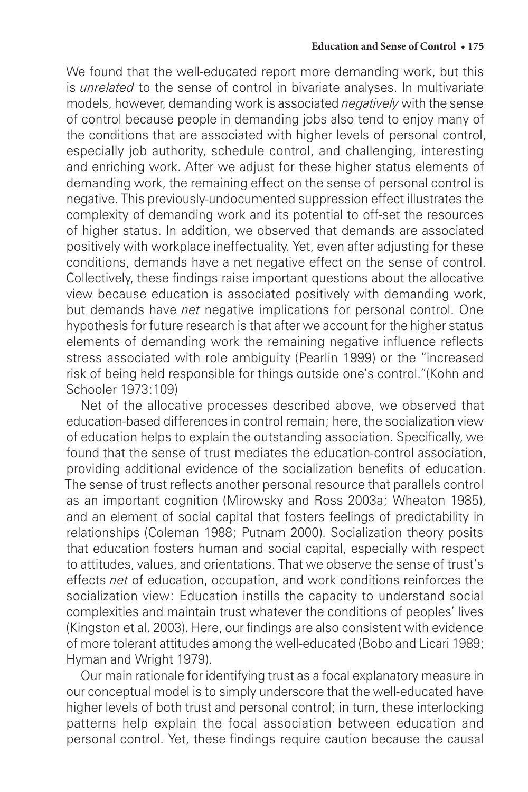We found that the well-educated report more demanding work, but this is *unrelated* to the sense of control in bivariate analyses. In multivariate models, however, demanding work is associated *negatively* with the sense of control because people in demanding jobs also tend to enjoy many of the conditions that are associated with higher levels of personal control, especially job authority, schedule control, and challenging, interesting and enriching work. After we adjust for these higher status elements of demanding work, the remaining effect on the sense of personal control is negative. This previously-undocumented suppression effect illustrates the complexity of demanding work and its potential to off-set the resources of higher status. In addition, we observed that demands are associated positively with workplace ineffectuality. Yet, even after adjusting for these conditions, demands have a net negative effect on the sense of control. Collectively, these findings raise important questions about the allocative view because education is associated positively with demanding work, but demands have *net* negative implications for personal control. One hypothesis for future research is that after we account for the higher status elements of demanding work the remaining negative influence reflects stress associated with role ambiguity (Pearlin 1999) or the "increased risk of being held responsible for things outside one's control."(Kohn and Schooler 1973:109)

Net of the allocative processes described above, we observed that education-based differences in control remain; here, the socialization view of education helps to explain the outstanding association. Specifically, we found that the sense of trust mediates the education-control association, providing additional evidence of the socialization benefits of education. The sense of trust reflects another personal resource that parallels control as an important cognition (Mirowsky and Ross 2003a; Wheaton 1985), and an element of social capital that fosters feelings of predictability in relationships (Coleman 1988; Putnam 2000). Socialization theory posits that education fosters human and social capital, especially with respect to attitudes, values, and orientations. That we observe the sense of trust's effects *net* of education, occupation, and work conditions reinforces the socialization view: Education instills the capacity to understand social complexities and maintain trust whatever the conditions of peoples' lives (Kingston et al. 2003). Here, our findings are also consistent with evidence of more tolerant attitudes among the well-educated (Bobo and Licari 1989; Hyman and Wright 1979).

Our main rationale for identifying trust as a focal explanatory measure in our conceptual model is to simply underscore that the well-educated have higher levels of both trust and personal control; in turn, these interlocking patterns help explain the focal association between education and personal control. Yet, these findings require caution because the causal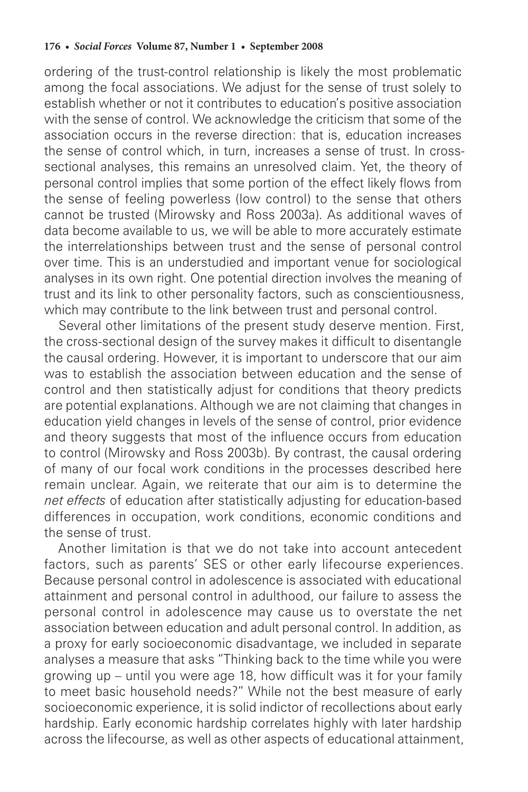ordering of the trust-control relationship is likely the most problematic among the focal associations. We adjust for the sense of trust solely to establish whether or not it contributes to education's positive association with the sense of control. We acknowledge the criticism that some of the association occurs in the reverse direction: that is, education increases the sense of control which, in turn, increases a sense of trust. In crosssectional analyses, this remains an unresolved claim. Yet, the theory of personal control implies that some portion of the effect likely flows from the sense of feeling powerless (low control) to the sense that others cannot be trusted (Mirowsky and Ross 2003a). As additional waves of data become available to us, we will be able to more accurately estimate the interrelationships between trust and the sense of personal control over time. This is an understudied and important venue for sociological analyses in its own right. One potential direction involves the meaning of trust and its link to other personality factors, such as conscientiousness, which may contribute to the link between trust and personal control.

Several other limitations of the present study deserve mention. First, the cross-sectional design of the survey makes it difficult to disentangle the causal ordering. However, it is important to underscore that our aim was to establish the association between education and the sense of control and then statistically adjust for conditions that theory predicts are potential explanations. Although we are not claiming that changes in education yield changes in levels of the sense of control, prior evidence and theory suggests that most of the influence occurs from education to control (Mirowsky and Ross 2003b). By contrast, the causal ordering of many of our focal work conditions in the processes described here remain unclear. Again, we reiterate that our aim is to determine the *net effects* of education after statistically adjusting for education-based differences in occupation, work conditions, economic conditions and the sense of trust.

Another limitation is that we do not take into account antecedent factors, such as parents' SES or other early lifecourse experiences. Because personal control in adolescence is associated with educational attainment and personal control in adulthood, our failure to assess the personal control in adolescence may cause us to overstate the net association between education and adult personal control. In addition, as a proxy for early socioeconomic disadvantage, we included in separate analyses a measure that asks "Thinking back to the time while you were growing up – until you were age 18, how difficult was it for your family to meet basic household needs?" While not the best measure of early socioeconomic experience, it is solid indictor of recollections about early hardship. Early economic hardship correlates highly with later hardship across the lifecourse, as well as other aspects of educational attainment,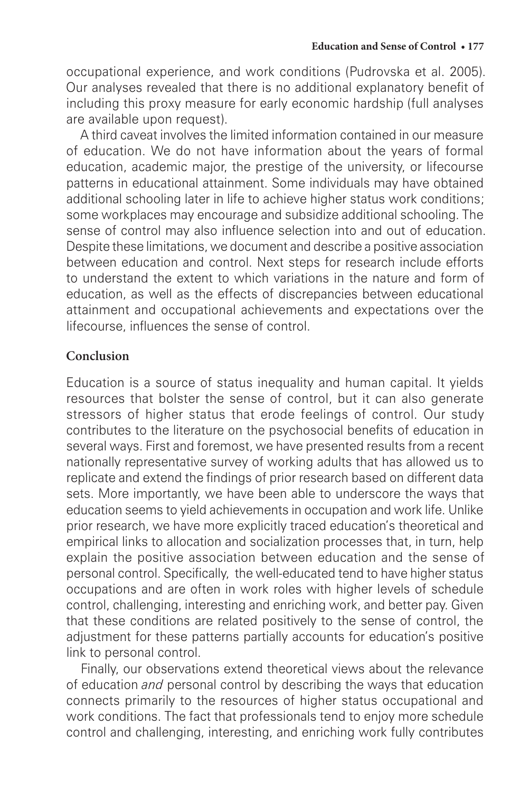occupational experience, and work conditions (Pudrovska et al. 2005). Our analyses revealed that there is no additional explanatory benefit of including this proxy measure for early economic hardship (full analyses are available upon request).

A third caveat involves the limited information contained in our measure of education. We do not have information about the years of formal education, academic major, the prestige of the university, or lifecourse patterns in educational attainment. Some individuals may have obtained additional schooling later in life to achieve higher status work conditions; some workplaces may encourage and subsidize additional schooling. The sense of control may also influence selection into and out of education. Despite these limitations, we document and describe a positive association between education and control. Next steps for research include efforts to understand the extent to which variations in the nature and form of education, as well as the effects of discrepancies between educational attainment and occupational achievements and expectations over the lifecourse, influences the sense of control.

#### **Conclusion**

Education is a source of status inequality and human capital. It yields resources that bolster the sense of control, but it can also generate stressors of higher status that erode feelings of control. Our study contributes to the literature on the psychosocial benefits of education in several ways. First and foremost, we have presented results from a recent nationally representative survey of working adults that has allowed us to replicate and extend the findings of prior research based on different data sets. More importantly, we have been able to underscore the ways that education seems to yield achievements in occupation and work life. Unlike prior research, we have more explicitly traced education's theoretical and empirical links to allocation and socialization processes that, in turn, help explain the positive association between education and the sense of personal control. Specifically, the well-educated tend to have higher status occupations and are often in work roles with higher levels of schedule control, challenging, interesting and enriching work, and better pay. Given that these conditions are related positively to the sense of control, the adjustment for these patterns partially accounts for education's positive link to personal control.

Finally, our observations extend theoretical views about the relevance of education *and* personal control by describing the ways that education connects primarily to the resources of higher status occupational and work conditions. The fact that professionals tend to enjoy more schedule control and challenging, interesting, and enriching work fully contributes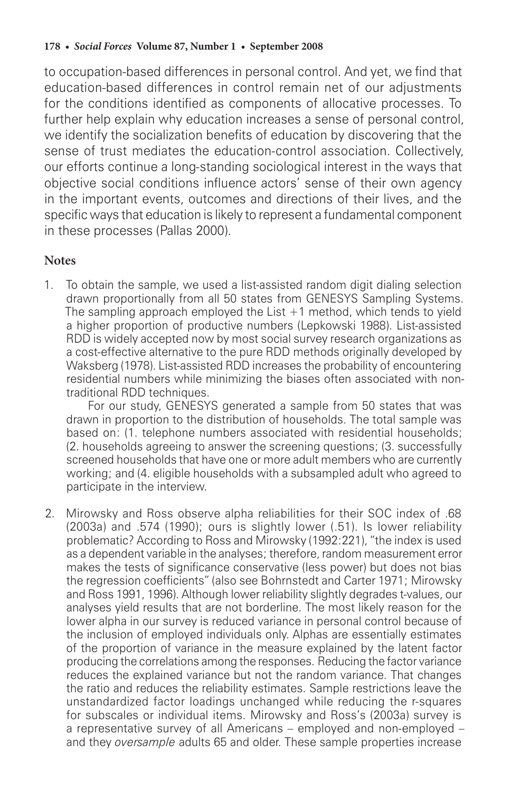to occupation-based differences in personal control. And yet, we find that education-based differences in control remain net of our adjustments for the conditions identified as components of allocative processes. To further help explain why education increases a sense of personal control, we identify the socialization benefits of education by discovering that the sense of trust mediates the education-control association. Collectively, our efforts continue a long-standing sociological interest in the ways that objective social conditions influence actors' sense of their own agency in the important events, outcomes and directions of their lives, and the specific ways that education is likely to represent a fundamental component in these processes (Pallas 2000).

#### **Notes**

1. To obtain the sample, we used a list-assisted random digit dialing selection drawn proportionally from all 50 states from GENESYS Sampling Systems. The sampling approach employed the List  $+1$  method, which tends to yield a higher proportion of productive numbers (Lepkowski 1988). List-assisted RDD is widely accepted now by most social survey research organizations as a cost-effective alternative to the pure RDD methods originally developed by Waksberg (1978). List-assisted RDD increases the probability of encountering residential numbers while minimizing the biases often associated with nontraditional RDD techniques.

For our study, GENESYS generated a sample from 50 states that was drawn in proportion to the distribution of households. The total sample was based on: (1. telephone numbers associated with residential households; (2. households agreeing to answer the screening questions; (3. successfully screened households that have one or more adult members who are currently working; and (4. eligible households with a subsampled adult who agreed to participate in the interview.

2. Mirowsky and Ross observe alpha reliabilities for their SOC index of .68 (2003a) and .574 (1990); ours is slightly lower (.51). Is lower reliability problematic? According to Ross and Mirowsky (1992:221), "the index is used as a dependent variable in the analyses; therefore, random measurement error makes the tests of significance conservative (less power) but does not bias the regression coefficients" (also see Bohrnstedt and Carter 1971; Mirowsky and Ross 1991, 1996). Although lower reliability slightly degrades t-values, our analyses yield results that are not borderline. The most likely reason for the lower alpha in our survey is reduced variance in personal control because of the inclusion of employed individuals only. Alphas are essentially estimates of the proportion of variance in the measure explained by the latent factor producing the correlations among the responses. Reducing the factor variance reduces the explained variance but not the random variance. That changes the ratio and reduces the reliability estimates. Sample restrictions leave the unstandardized factor loadings unchanged while reducing the r-squares for subscales or individual items. Mirowsky and Ross's (2003a) survey is a representative survey of all Americans – employed and non-employed – and they *oversample* adults 65 and older. These sample properties increase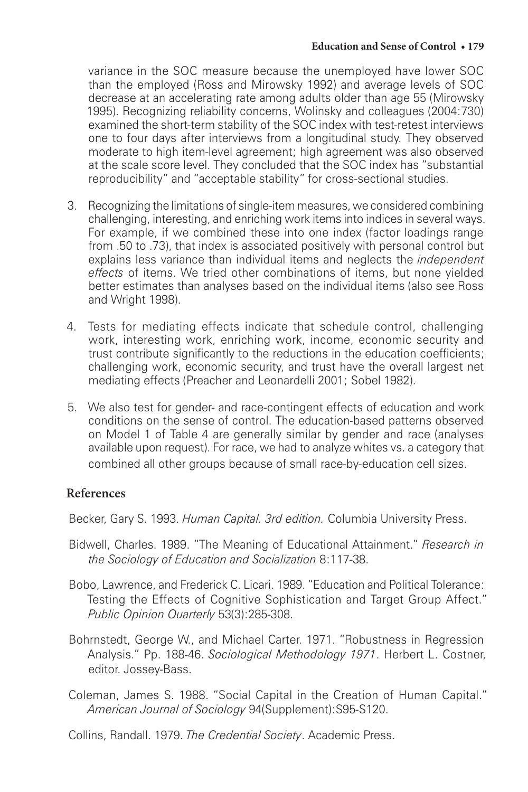variance in the SOC measure because the unemployed have lower SOC than the employed (Ross and Mirowsky 1992) and average levels of SOC decrease at an accelerating rate among adults older than age 55 (Mirowsky 1995). Recognizing reliability concerns, Wolinsky and colleagues (2004:730) examined the short-term stability of the SOC index with test-retest interviews one to four days after interviews from a longitudinal study. They observed moderate to high item-level agreement; high agreement was also observed at the scale score level. They concluded that the SOC index has "substantial reproducibility" and "acceptable stability" for cross-sectional studies.

- 3. Recognizing the limitations of single-item measures, we considered combining challenging, interesting, and enriching work items into indices in several ways. For example, if we combined these into one index (factor loadings range from .50 to .73), that index is associated positively with personal control but explains less variance than individual items and neglects the *independent effects* of items. We tried other combinations of items, but none yielded better estimates than analyses based on the individual items (also see Ross and Wright 1998).
- 4. Tests for mediating effects indicate that schedule control, challenging work, interesting work, enriching work, income, economic security and trust contribute significantly to the reductions in the education coefficients; challenging work, economic security, and trust have the overall largest net mediating effects (Preacher and Leonardelli 2001; Sobel 1982).
- 5. We also test for gender- and race-contingent effects of education and work conditions on the sense of control. The education-based patterns observed on Model 1 of Table 4 are generally similar by gender and race (analyses available upon request). For race, we had to analyze whites vs. a category that combined all other groups because of small race-by-education cell sizes.

#### **References**

Becker, Gary S. 1993. *Human Capital. 3rd edition.* Columbia University Press.

- Bidwell, Charles. 1989. "The Meaning of Educational Attainment." *Research in the Sociology of Education and Socialization* 8:117-38.
- Bobo, Lawrence, and Frederick C. Licari. 1989. "Education and Political Tolerance: Testing the Effects of Cognitive Sophistication and Target Group Affect." *Public Opinion Quarterly* 53(3):285-308.
- Bohrnstedt, George W., and Michael Carter. 1971. "Robustness in Regression Analysis." Pp. 188-46. *Sociological Methodology 1971*. Herbert L. Costner, editor. Jossey-Bass.
- Coleman, James S. 1988. "Social Capital in the Creation of Human Capital." *American Journal of Sociology* 94(Supplement):S95-S120.

Collins, Randall. 1979. *The Credential Society*. Academic Press.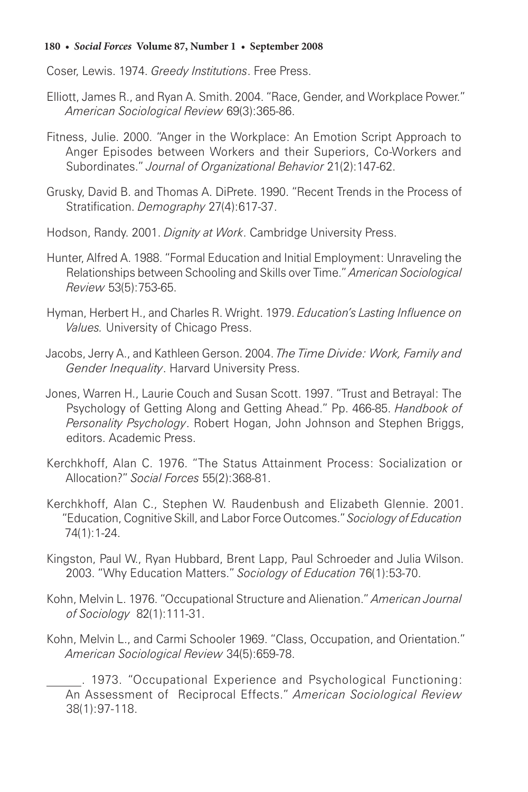Coser, Lewis. 1974. *Greedy Institutions*. Free Press.

- Elliott, James R., and Ryan A. Smith. 2004. "Race, Gender, and Workplace Power." *American Sociological Review* 69(3):365-86.
- Fitness, Julie. 2000. "Anger in the Workplace: An Emotion Script Approach to Anger Episodes between Workers and their Superiors, Co-Workers and Subordinates." *Journal of Organizational Behavior* 21(2):147-62.
- Grusky, David B. and Thomas A. DiPrete. 1990. "Recent Trends in the Process of Stratification. *Demography* 27(4):617-37.
- Hodson, Randy. 2001. *Dignity at Work*. Cambridge University Press.
- Hunter, Alfred A. 1988. "Formal Education and Initial Employment: Unraveling the Relationships between Schooling and Skills over Time." *American Sociological Review* 53(5):753-65.
- Hyman, Herbert H., and Charles R. Wright. 1979. *Education's Lasting Influence on Values.* University of Chicago Press.
- Jacobs, Jerry A., and Kathleen Gerson. 2004. *The Time Divide: Work, Family and Gender Inequality*. Harvard University Press.
- Jones, Warren H., Laurie Couch and Susan Scott. 1997. "Trust and Betrayal: The Psychology of Getting Along and Getting Ahead." Pp. 466-85. *Handbook of Personality Psychology*. Robert Hogan, John Johnson and Stephen Briggs, editors. Academic Press.
- Kerchkhoff, Alan C. 1976. "The Status Attainment Process: Socialization or Allocation?" *Social Forces* 55(2):368-81.
- Kerchkhoff, Alan C., Stephen W. Raudenbush and Elizabeth Glennie. 2001. "Education, Cognitive Skill, and Labor Force Outcomes." *Sociology of Education* 74(1):1-24.
- Kingston, Paul W., Ryan Hubbard, Brent Lapp, Paul Schroeder and Julia Wilson. 2003. "Why Education Matters." *Sociology of Education* 76(1):53-70.
- Kohn, Melvin L. 1976. "Occupational Structure and Alienation." *American Journal of Sociology* 82(1):111-31.
- Kohn, Melvin L., and Carmi Schooler 1969. "Class, Occupation, and Orientation." *American Sociological Review* 34(5):659-78.

. 1973. "Occupational Experience and Psychological Functioning: An Assessment of Reciprocal Effects." *American Sociological Review*  38(1):97-118.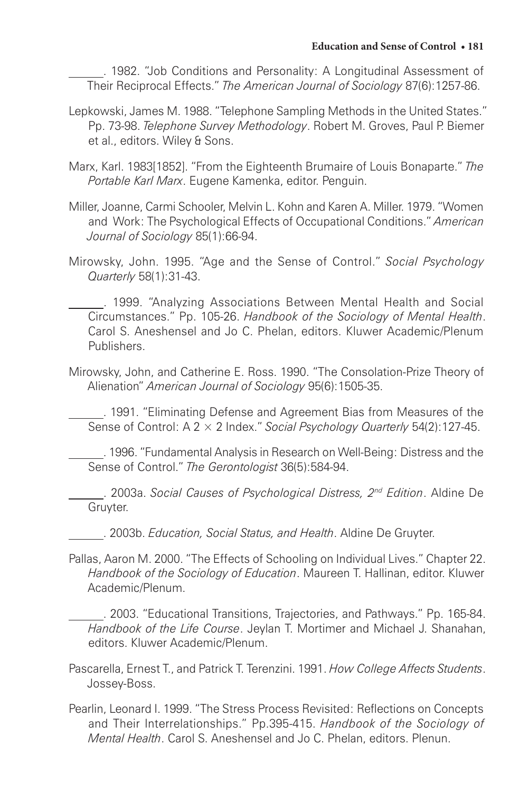. 1982. "Job Conditions and Personality: A Longitudinal Assessment of Their Reciprocal Effects." *The American Journal of Sociology* 87(6):1257-86.

- Lepkowski, James M. 1988. "Telephone Sampling Methods in the United States." Pp. 73-98. *Telephone Survey Methodology*. Robert M. Groves, Paul P. Biemer et al., editors. Wiley & Sons.
- Marx, Karl. 1983[1852]. "From the Eighteenth Brumaire of Louis Bonaparte." *The Portable Karl Marx*. Eugene Kamenka, editor. Penguin.
- Miller, Joanne, Carmi Schooler, Melvin L. Kohn and Karen A. Miller. 1979. "Women and Work: The Psychological Effects of Occupational Conditions." *American Journal of Sociology* 85(1):66-94.
- Mirowsky, John. 1995. "Age and the Sense of Control." *Social Psychology Quarterly* 58(1):31-43.

. 1999. "Analyzing Associations Between Mental Health and Social Circumstances." Pp. 105-26. *Handbook of the Sociology of Mental Health*. Carol S. Aneshensel and Jo C. Phelan, editors. Kluwer Academic/Plenum Publishers.

Mirowsky, John, and Catherine E. Ross. 1990. "The Consolation-Prize Theory of Alienation" *American Journal of Sociology* 95(6):1505-35.

. 1991. "Eliminating Defense and Agreement Bias from Measures of the Sense of Control: A 2 × 2 Index." *Social Psychology Quarterly* 54(2):127-45.

. 1996. "Fundamental Analysis in Research on Well-Being: Distress and the Sense of Control." *The Gerontologist* 36(5):584-94.

. 2003a. *Social Causes of Psychological Distress, 2nd Edition*. Aldine De Gruyter.

. 2003b. *Education, Social Status, and Health*. Aldine De Gruyter.

Pallas, Aaron M. 2000. "The Effects of Schooling on Individual Lives." Chapter 22. *Handbook of the Sociology of Education*. Maureen T. Hallinan, editor. Kluwer Academic/Plenum.

. 2003. "Educational Transitions, Trajectories, and Pathways." Pp. 165-84. *Handbook of the Life Course*. Jeylan T. Mortimer and Michael J. Shanahan, editors. Kluwer Academic/Plenum.

- Pascarella, Ernest T., and Patrick T. Terenzini. 1991. *How College Affects Students*. Jossey-Boss.
- Pearlin, Leonard I. 1999. "The Stress Process Revisited: Reflections on Concepts and Their Interrelationships." Pp.395-415. *Handbook of the Sociology of Mental Health*. Carol S. Aneshensel and Jo C. Phelan, editors. Plenun.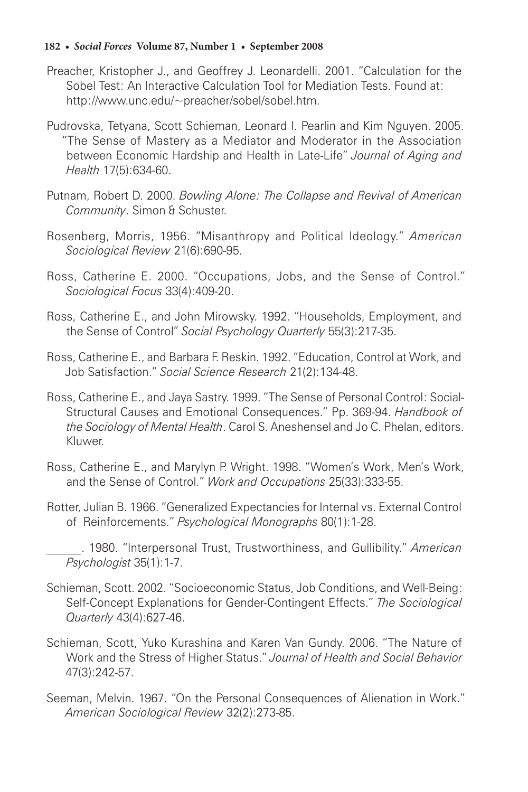- Preacher, Kristopher J., and Geoffrey J. Leonardelli. 2001. "Calculation for the Sobel Test: An Interactive Calculation Tool for Mediation Tests. Found at: http://www.unc.edu/~preacher/sobel/sobel.htm.
- Pudrovska, Tetyana, Scott Schieman, Leonard I. Pearlin and Kim Nguyen. 2005. "The Sense of Mastery as a Mediator and Moderator in the Association between Economic Hardship and Health in Late-Life" *Journal of Aging and Health* 17(5):634-60.
- Putnam, Robert D. 2000. *Bowling Alone: The Collapse and Revival of American Community*. Simon & Schuster.
- Rosenberg, Morris, 1956. "Misanthropy and Political Ideology." *American Sociological Review* 21(6):690-95.
- Ross, Catherine E. 2000. "Occupations, Jobs, and the Sense of Control." *Sociological Focus* 33(4):409-20.
- Ross, Catherine E., and John Mirowsky. 1992. "Households, Employment, and the Sense of Control" *Social Psychology Quarterly* 55(3):217-35.
- Ross, Catherine E., and Barbara F. Reskin. 1992. "Education, Control at Work, and Job Satisfaction." *Social Science Research* 21(2):134-48.
- Ross, Catherine E., and Jaya Sastry. 1999. "The Sense of Personal Control: Social-Structural Causes and Emotional Consequences." Pp. 369-94. *Handbook of the Sociology of Mental Health*. Carol S. Aneshensel and Jo C. Phelan, editors. Kluwer.
- Ross, Catherine E., and Marylyn P. Wright. 1998. "Women's Work, Men's Work, and the Sense of Control." *Work and Occupations* 25(33):333-55.
- Rotter, Julian B. 1966. "Generalized Expectancies for Internal vs. External Control of Reinforcements." *Psychological Monographs* 80(1):1-28.

- Schieman, Scott. 2002. "Socioeconomic Status, Job Conditions, and Well-Being: Self-Concept Explanations for Gender-Contingent Effects." *The Sociological Quarterly* 43(4):627-46.
- Schieman, Scott, Yuko Kurashina and Karen Van Gundy. 2006. "The Nature of Work and the Stress of Higher Status." *Journal of Health and Social Behavior* 47(3):242-57.
- Seeman, Melvin. 1967. "On the Personal Consequences of Alienation in Work." *American Sociological Review* 32(2):273-85.

<sup>. 1980. &</sup>quot;Interpersonal Trust, Trustworthiness, and Gullibility." *American Psychologist* 35(1):1-7.